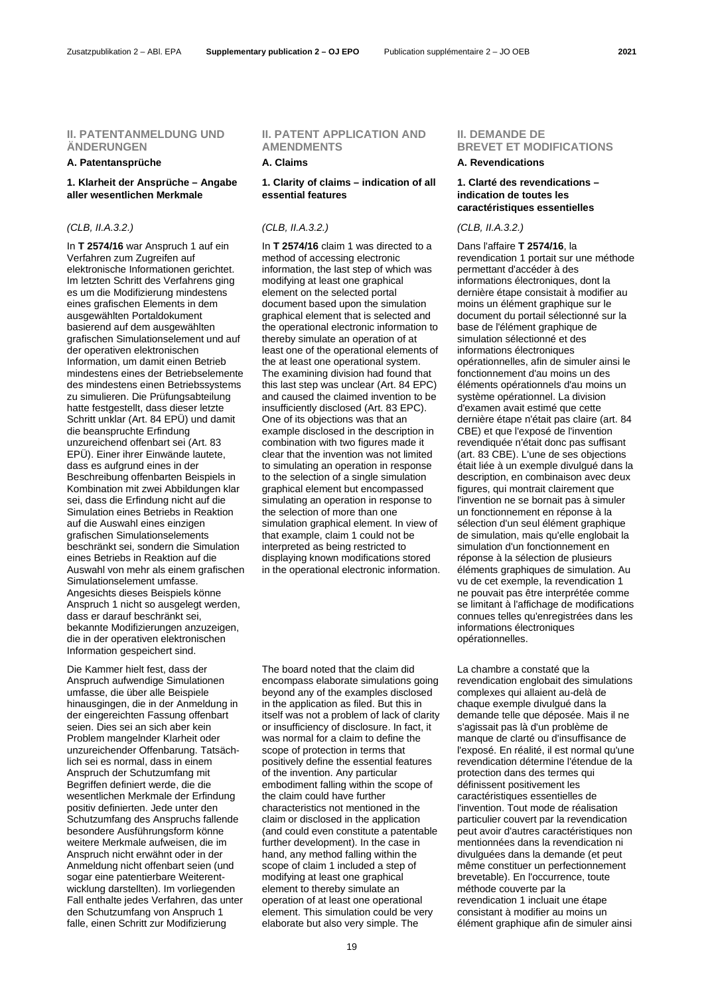### **II. PATENTANMELDUNG UND ÄNDERUNGEN**

### **A. Patentansprüche A. Claims A. Revendications**

### **1. Klarheit der Ansprüche – Angabe aller wesentlichen Merkmale**

### *(CLB, II.A.3.2.) (CLB, II.A.3.2.) (CLB, II.A.3.2.)*

In **T 2574/16** war Anspruch 1 auf ein Verfahren zum Zugreifen auf elektronische Informationen gerichtet. Im letzten Schritt des Verfahrens ging es um die Modifizierung mindestens eines grafischen Elements in dem ausgewählten Portaldokument basierend auf dem ausgewählten grafischen Simulationselement und auf der operativen elektronischen Information, um damit einen Betrieb mindestens eines der Betriebselemente des mindestens einen Betriebssystems zu simulieren. Die Prüfungsabteilung hatte festgestellt, dass dieser letzte Schritt unklar (Art. 84 EPÜ) und damit die beanspruchte Erfindung unzureichend offenbart sei (Art. 83 EPÜ). Einer ihrer Einwände lautete, dass es aufgrund eines in der Beschreibung offenbarten Beispiels in Kombination mit zwei Abbildungen klar sei, dass die Erfindung nicht auf die Simulation eines Betriebs in Reaktion auf die Auswahl eines einzigen grafischen Simulationselements beschränkt sei, sondern die Simulation eines Betriebs in Reaktion auf die Auswahl von mehr als einem grafischen Simulationselement umfasse. Angesichts dieses Beispiels könne Anspruch 1 nicht so ausgelegt werden, dass er darauf beschränkt sei, bekannte Modifizierungen anzuzeigen, die in der operativen elektronischen Information gespeichert sind.

Die Kammer hielt fest, dass der Anspruch aufwendige Simulationen umfasse, die über alle Beispiele hinausgingen, die in der Anmeldung in der eingereichten Fassung offenbart seien. Dies sei an sich aber kein Problem mangelnder Klarheit oder unzureichender Offenbarung. Tatsächlich sei es normal, dass in einem Anspruch der Schutzumfang mit Begriffen definiert werde, die die wesentlichen Merkmale der Erfindung positiv definierten. Jede unter den Schutzumfang des Anspruchs fallende besondere Ausführungsform könne weitere Merkmale aufweisen, die im Anspruch nicht erwähnt oder in der Anmeldung nicht offenbart seien (und sogar eine patentierbare Weiterentwicklung darstellten). Im vorliegenden Fall enthalte jedes Verfahren, das unter den Schutzumfang von Anspruch 1 falle, einen Schritt zur Modifizierung

# **II. PATENT APPLICATION AND AMENDMENTS**

### **1. Clarity of claims – indication of all essential features**

In **T 2574/16** claim 1 was directed to a method of accessing electronic information, the last step of which was modifying at least one graphical element on the selected portal document based upon the simulation graphical element that is selected and the operational electronic information to thereby simulate an operation of at least one of the operational elements of the at least one operational system. The examining division had found that this last step was unclear (Art. 84 EPC) and caused the claimed invention to be insufficiently disclosed (Art. 83 EPC). One of its objections was that an example disclosed in the description in combination with two figures made it clear that the invention was not limited to simulating an operation in response to the selection of a single simulation graphical element but encompassed simulating an operation in response to the selection of more than one simulation graphical element. In view of that example, claim 1 could not be interpreted as being restricted to displaying known modifications stored in the operational electronic information.

The board noted that the claim did encompass elaborate simulations going beyond any of the examples disclosed in the application as filed. But this in itself was not a problem of lack of clarity or insufficiency of disclosure. In fact, it was normal for a claim to define the scope of protection in terms that positively define the essential features of the invention. Any particular embodiment falling within the scope of the claim could have further characteristics not mentioned in the claim or disclosed in the application (and could even constitute a patentable further development). In the case in hand, any method falling within the scope of claim 1 included a step of modifying at least one graphical element to thereby simulate an operation of at least one operational element. This simulation could be very elaborate but also very simple. The

# **II. DEMANDE DE BREVET ET MODIFICATIONS**

### **1. Clarté des revendications – indication de toutes les caractéristiques essentielles**

Dans l'affaire **T 2574/16**, la revendication 1 portait sur une méthode permettant d'accéder à des informations électroniques, dont la dernière étape consistait à modifier au moins un élément graphique sur le document du portail sélectionné sur la base de l'élément graphique de simulation sélectionné et des informations électroniques opérationnelles, afin de simuler ainsi le fonctionnement d'au moins un des éléments opérationnels d'au moins un système opérationnel. La division d'examen avait estimé que cette dernière étape n'était pas claire (art. 84 CBE) et que l'exposé de l'invention revendiquée n'était donc pas suffisant (art. 83 CBE). L'une de ses objections était liée à un exemple divulgué dans la description, en combinaison avec deux figures, qui montrait clairement que l'invention ne se bornait pas à simuler un fonctionnement en réponse à la sélection d'un seul élément graphique de simulation, mais qu'elle englobait la simulation d'un fonctionnement en réponse à la sélection de plusieurs éléments graphiques de simulation. Au vu de cet exemple, la revendication 1 ne pouvait pas être interprétée comme se limitant à l'affichage de modifications connues telles qu'enregistrées dans les informations électroniques opérationnelles.

La chambre a constaté que la revendication englobait des simulations complexes qui allaient au-delà de chaque exemple divulgué dans la demande telle que déposée. Mais il ne s'agissait pas là d'un problème de manque de clarté ou d'insuffisance de l'exposé. En réalité, il est normal qu'une revendication détermine l'étendue de la protection dans des termes qui définissent positivement les caractéristiques essentielles de l'invention. Tout mode de réalisation particulier couvert par la revendication peut avoir d'autres caractéristiques non mentionnées dans la revendication ni divulguées dans la demande (et peut même constituer un perfectionnement brevetable). En l'occurrence, toute méthode couverte par la revendication 1 incluait une étape consistant à modifier au moins un élément graphique afin de simuler ainsi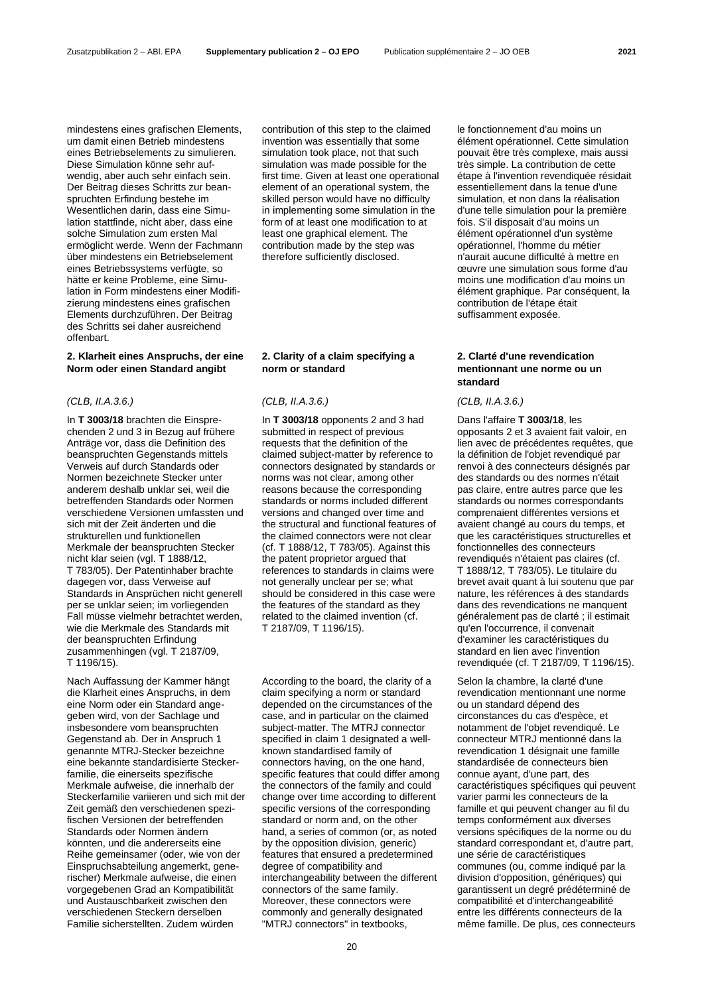mindestens eines grafischen Elements, um damit einen Betrieb mindestens eines Betriebselements zu simulieren. Diese Simulation könne sehr aufwendig, aber auch sehr einfach sein. Der Beitrag dieses Schritts zur beanspruchten Erfindung bestehe im Wesentlichen darin, dass eine Simulation stattfinde, nicht aber, dass eine solche Simulation zum ersten Mal ermöglicht werde. Wenn der Fachmann über mindestens ein Betriebselement eines Betriebssystems verfügte, so hätte er keine Probleme, eine Simulation in Form mindestens einer Modifizierung mindestens eines grafischen Elements durchzuführen. Der Beitrag des Schritts sei daher ausreichend offenbart.

# **2. Klarheit eines Anspruchs, der eine Norm oder einen Standard angibt**

# *(CLB, II.A.3.6.) (CLB, II.A.3.6.) (CLB, II.A.3.6.)*

In **T 3003/18** brachten die Einsprechenden 2 und 3 in Bezug auf frühere Anträge vor, dass die Definition des beanspruchten Gegenstands mittels Verweis auf durch Standards oder Normen bezeichnete Stecker unter anderem deshalb unklar sei, weil die betreffenden Standards oder Normen verschiedene Versionen umfassten und sich mit der Zeit änderten und die strukturellen und funktionellen Merkmale der beanspruchten Stecker nicht klar seien (vgl. T 1888/12, T 783/05). Der Patentinhaber brachte dagegen vor, dass Verweise auf Standards in Ansprüchen nicht generell per se unklar seien; im vorliegenden Fall müsse vielmehr betrachtet werden, wie die Merkmale des Standards mit der beanspruchten Erfindung zusammenhingen (vgl. T 2187/09, T 1196/15).

Nach Auffassung der Kammer hängt die Klarheit eines Anspruchs, in dem eine Norm oder ein Standard angegeben wird, von der Sachlage und insbesondere vom beanspruchten Gegenstand ab. Der in Anspruch 1 genannte MTRJ-Stecker bezeichne eine bekannte standardisierte Steckerfamilie, die einerseits spezifische Merkmale aufweise, die innerhalb der Steckerfamilie variieren und sich mit der Zeit gemäß den verschiedenen spezifischen Versionen der betreffenden Standards oder Normen ändern könnten, und die andererseits eine Reihe gemeinsamer (oder, wie von der Einspruchsabteilung angemerkt, generischer) Merkmale aufweise, die einen vorgegebenen Grad an Kompatibilität und Austauschbarkeit zwischen den verschiedenen Steckern derselben Familie sicherstellten. Zudem würden

contribution of this step to the claimed invention was essentially that some simulation took place, not that such simulation was made possible for the first time. Given at least one operational element of an operational system, the skilled person would have no difficulty in implementing some simulation in the form of at least one modification to at least one graphical element. The contribution made by the step was therefore sufficiently disclosed.

# **2. Clarity of a claim specifying a norm or standard**

In **T 3003/18** opponents 2 and 3 had submitted in respect of previous requests that the definition of the claimed subject-matter by reference to connectors designated by standards or norms was not clear, among other reasons because the corresponding standards or norms included different versions and changed over time and the structural and functional features of the claimed connectors were not clear (cf. T 1888/12, T 783/05). Against this the patent proprietor argued that references to standards in claims were not generally unclear per se; what should be considered in this case were the features of the standard as they related to the claimed invention (cf. T 2187/09, T 1196/15).

According to the board, the clarity of a claim specifying a norm or standard depended on the circumstances of the case, and in particular on the claimed subject-matter. The MTRJ connector specified in claim 1 designated a wellknown standardised family of connectors having, on the one hand, specific features that could differ among the connectors of the family and could change over time according to different specific versions of the corresponding standard or norm and, on the other hand, a series of common (or, as noted by the opposition division, generic) features that ensured a predetermined degree of compatibility and interchangeability between the different connectors of the same family. Moreover, these connectors were commonly and generally designated "MTRJ connectors" in textbooks,

le fonctionnement d'au moins un élément opérationnel. Cette simulation pouvait être très complexe, mais aussi très simple. La contribution de cette étape à l'invention revendiquée résidait essentiellement dans la tenue d'une simulation, et non dans la réalisation d'une telle simulation pour la première fois. S'il disposait d'au moins un élément opérationnel d'un système opérationnel, l'homme du métier n'aurait aucune difficulté à mettre en œuvre une simulation sous forme d'au moins une modification d'au moins un élément graphique. Par conséquent, la contribution de l'étape était suffisamment exposée.

# **2. Clarté d'une revendication mentionnant une norme ou un standard**

Dans l'affaire **T 3003/18**, les opposants 2 et 3 avaient fait valoir, en lien avec de précédentes requêtes, que la définition de l'objet revendiqué par renvoi à des connecteurs désignés par des standards ou des normes n'était pas claire, entre autres parce que les standards ou normes correspondants comprenaient différentes versions et avaient changé au cours du temps, et que les caractéristiques structurelles et fonctionnelles des connecteurs revendiqués n'étaient pas claires (cf. T 1888/12, T 783/05). Le titulaire du brevet avait quant à lui soutenu que par nature, les références à des standards dans des revendications ne manquent généralement pas de clarté ; il estimait qu'en l'occurrence, il convenait d'examiner les caractéristiques du standard en lien avec l'invention revendiquée (cf. T 2187/09, T 1196/15).

Selon la chambre, la clarté d'une revendication mentionnant une norme ou un standard dépend des circonstances du cas d'espèce, et notamment de l'objet revendiqué. Le connecteur MTRJ mentionné dans la revendication 1 désignait une famille standardisée de connecteurs bien connue ayant, d'une part, des caractéristiques spécifiques qui peuvent varier parmi les connecteurs de la famille et qui peuvent changer au fil du temps conformément aux diverses versions spécifiques de la norme ou du standard correspondant et, d'autre part, une série de caractéristiques communes (ou, comme indiqué par la division d'opposition, génériques) qui garantissent un degré prédéterminé de compatibilité et d'interchangeabilité entre les différents connecteurs de la même famille. De plus, ces connecteurs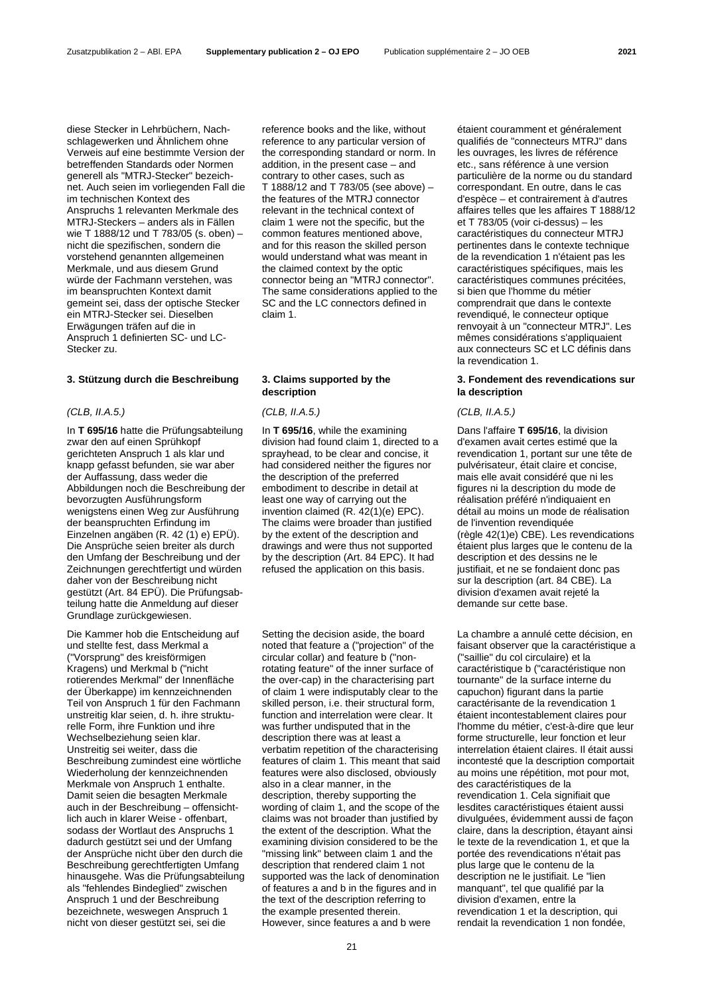diese Stecker in Lehrbüchern, Nachschlagewerken und Ähnlichem ohne Verweis auf eine bestimmte Version der betreffenden Standards oder Normen generell als "MTRJ-Stecker" bezeichnet. Auch seien im vorliegenden Fall die im technischen Kontext des Anspruchs 1 relevanten Merkmale des MTRJ-Steckers – anders als in Fällen wie T 1888/12 und T 783/05 (s. oben) – nicht die spezifischen, sondern die vorstehend genannten allgemeinen Merkmale, und aus diesem Grund würde der Fachmann verstehen, was im beanspruchten Kontext damit gemeint sei, dass der optische Stecker ein MTRJ-Stecker sei. Dieselben Erwägungen träfen auf die in Anspruch 1 definierten SC- und LC-Stecker zu.

# **3. Stützung durch die Beschreibung 3. Claims supported by the**

### *(CLB, II.A.5.) (CLB, II.A.5.) (CLB, II.A.5.)*

In **T 695/16** hatte die Prüfungsabteilung zwar den auf einen Sprühkopf gerichteten Anspruch 1 als klar und knapp gefasst befunden, sie war aber der Auffassung, dass weder die Abbildungen noch die Beschreibung der bevorzugten Ausführungsform wenigstens einen Weg zur Ausführung der beanspruchten Erfindung im Einzelnen angäben (R. 42 (1) e) EPÜ). Die Ansprüche seien breiter als durch den Umfang der Beschreibung und der Zeichnungen gerechtfertigt und würden daher von der Beschreibung nicht gestützt (Art. 84 EPÜ). Die Prüfungsabteilung hatte die Anmeldung auf dieser Grundlage zurückgewiesen.

Die Kammer hob die Entscheidung auf und stellte fest, dass Merkmal a ("Vorsprung" des kreisförmigen Kragens) und Merkmal b ("nicht rotierendes Merkmal" der Innenfläche der Überkappe) im kennzeichnenden Teil von Anspruch 1 für den Fachmann unstreitig klar seien, d. h. ihre strukturelle Form, ihre Funktion und ihre Wechselbeziehung seien klar. Unstreitig sei weiter, dass die Beschreibung zumindest eine wörtliche Wiederholung der kennzeichnenden Merkmale von Anspruch 1 enthalte. Damit seien die besagten Merkmale auch in der Beschreibung – offensichtlich auch in klarer Weise - offenbart, sodass der Wortlaut des Anspruchs 1 dadurch gestützt sei und der Umfang der Ansprüche nicht über den durch die Beschreibung gerechtfertigten Umfang hinausgehe. Was die Prüfungsabteilung als "fehlendes Bindeglied" zwischen Anspruch 1 und der Beschreibung bezeichnete, weswegen Anspruch 1 nicht von dieser gestützt sei, sei die

reference books and the like, without reference to any particular version of the corresponding standard or norm. In addition, in the present case – and contrary to other cases, such as T 1888/12 and T 783/05 (see above) – the features of the MTRJ connector relevant in the technical context of claim 1 were not the specific, but the common features mentioned above, and for this reason the skilled person would understand what was meant in the claimed context by the optic connector being an "MTRJ connector". The same considerations applied to the SC and the LC connectors defined in claim 1.

# **description**

In **T 695/16**, while the examining division had found claim 1, directed to a sprayhead, to be clear and concise, it had considered neither the figures nor the description of the preferred embodiment to describe in detail at least one way of carrying out the invention claimed (R. 42(1)(e) EPC). The claims were broader than justified by the extent of the description and drawings and were thus not supported by the description (Art. 84 EPC). It had refused the application on this basis.

Setting the decision aside, the board noted that feature a ("projection" of the circular collar) and feature b ("nonrotating feature" of the inner surface of the over-cap) in the characterising part of claim 1 were indisputably clear to the skilled person, i.e. their structural form, function and interrelation were clear. It was further undisputed that in the description there was at least a verbatim repetition of the characterising features of claim 1. This meant that said features were also disclosed, obviously also in a clear manner, in the description, thereby supporting the wording of claim 1, and the scope of the claims was not broader than justified by the extent of the description. What the examining division considered to be the "missing link" between claim 1 and the description that rendered claim 1 not supported was the lack of denomination of features a and b in the figures and in the text of the description referring to the example presented therein. However, since features a and b were

étaient couramment et généralement qualifiés de "connecteurs MTRJ" dans les ouvrages, les livres de référence etc., sans référence à une version particulière de la norme ou du standard correspondant. En outre, dans le cas d'espèce – et contrairement à d'autres affaires telles que les affaires T 1888/12 et T 783/05 (voir ci-dessus) – les caractéristiques du connecteur MTRJ pertinentes dans le contexte technique de la revendication 1 n'étaient pas les caractéristiques spécifiques, mais les caractéristiques communes précitées, si bien que l'homme du métier comprendrait que dans le contexte revendiqué, le connecteur optique renvoyait à un "connecteur MTRJ". Les mêmes considérations s'appliquaient aux connecteurs SC et LC définis dans la revendication 1.

# **3. Fondement des revendications sur la description**

Dans l'affaire **T 695/16**, la division d'examen avait certes estimé que la revendication 1, portant sur une tête de pulvérisateur, était claire et concise, mais elle avait considéré que ni les figures ni la description du mode de réalisation préféré n'indiquaient en détail au moins un mode de réalisation de l'invention revendiquée (règle 42(1)e) CBE). Les revendications étaient plus larges que le contenu de la description et des dessins ne le justifiait, et ne se fondaient donc pas sur la description (art. 84 CBE). La division d'examen avait rejeté la demande sur cette base.

La chambre a annulé cette décision, en faisant observer que la caractéristique a ("saillie" du col circulaire) et la caractéristique b ("caractéristique non tournante" de la surface interne du capuchon) figurant dans la partie caractérisante de la revendication 1 étaient incontestablement claires pour l'homme du métier, c'est-à-dire que leur forme structurelle, leur fonction et leur interrelation étaient claires. Il était aussi incontesté que la description comportait au moins une répétition, mot pour mot, des caractéristiques de la revendication 1. Cela signifiait que lesdites caractéristiques étaient aussi divulguées, évidemment aussi de façon claire, dans la description, étayant ainsi le texte de la revendication 1, et que la portée des revendications n'était pas plus large que le contenu de la description ne le justifiait. Le "lien manquant", tel que qualifié par la division d'examen, entre la revendication 1 et la description, qui rendait la revendication 1 non fondée,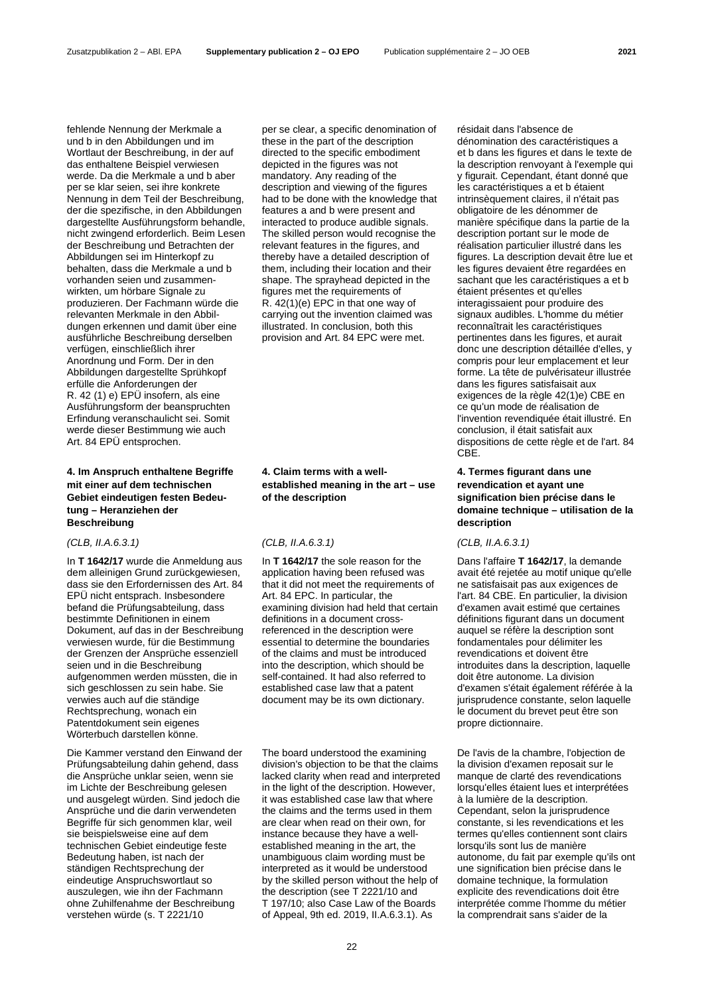fehlende Nennung der Merkmale a und b in den Abbildungen und im Wortlaut der Beschreibung, in der auf das enthaltene Beispiel verwiesen werde. Da die Merkmale a und b aber per se klar seien, sei ihre konkrete Nennung in dem Teil der Beschreibung, der die spezifische, in den Abbildungen dargestellte Ausführungsform behandle, nicht zwingend erforderlich. Beim Lesen der Beschreibung und Betrachten der Abbildungen sei im Hinterkopf zu behalten, dass die Merkmale a und b vorhanden seien und zusammenwirkten, um hörbare Signale zu produzieren. Der Fachmann würde die relevanten Merkmale in den Abbildungen erkennen und damit über eine ausführliche Beschreibung derselben verfügen, einschließlich ihrer Anordnung und Form. Der in den Abbildungen dargestellte Sprühkopf erfülle die Anforderungen der R. 42 (1) e) EPÜ insofern, als eine Ausführungsform der beanspruchten Erfindung veranschaulicht sei. Somit werde dieser Bestimmung wie auch Art. 84 EPÜ entsprochen.

# **4. Im Anspruch enthaltene Begriffe mit einer auf dem technischen Gebiet eindeutigen festen Bedeutung – Heranziehen der Beschreibung**

# *(CLB, II.A.6.3.1) (CLB, II.A.6.3.1) (CLB, II.A.6.3.1)*

In **T 1642/17** wurde die Anmeldung aus dem alleinigen Grund zurückgewiesen, dass sie den Erfordernissen des Art. 84 EPÜ nicht entsprach. Insbesondere befand die Prüfungsabteilung, dass bestimmte Definitionen in einem Dokument, auf das in der Beschreibung verwiesen wurde, für die Bestimmung der Grenzen der Ansprüche essenziell seien und in die Beschreibung aufgenommen werden müssten, die in sich geschlossen zu sein habe. Sie verwies auch auf die ständige Rechtsprechung, wonach ein Patentdokument sein eigenes Wörterbuch darstellen könne.

Die Kammer verstand den Einwand der Prüfungsabteilung dahin gehend, dass die Ansprüche unklar seien, wenn sie im Lichte der Beschreibung gelesen und ausgelegt würden. Sind jedoch die Ansprüche und die darin verwendeten Begriffe für sich genommen klar, weil sie beispielsweise eine auf dem technischen Gebiet eindeutige feste Bedeutung haben, ist nach der ständigen Rechtsprechung der eindeutige Anspruchswortlaut so auszulegen, wie ihn der Fachmann ohne Zuhilfenahme der Beschreibung verstehen würde (s. T 2221/10

per se clear, a specific denomination of these in the part of the description directed to the specific embodiment depicted in the figures was not mandatory. Any reading of the description and viewing of the figures had to be done with the knowledge that features a and b were present and interacted to produce audible signals. The skilled person would recognise the relevant features in the figures, and thereby have a detailed description of them, including their location and their shape. The sprayhead depicted in the figures met the requirements of R. 42(1)(e) EPC in that one way of carrying out the invention claimed was illustrated. In conclusion, both this provision and Art. 84 EPC were met.

**4. Claim terms with a wellestablished meaning in the art – use of the description**

In **T 1642/17** the sole reason for the application having been refused was that it did not meet the requirements of Art. 84 EPC. In particular, the examining division had held that certain definitions in a document crossreferenced in the description were essential to determine the boundaries of the claims and must be introduced into the description, which should be self-contained. It had also referred to established case law that a patent document may be its own dictionary.

The board understood the examining division's objection to be that the claims lacked clarity when read and interpreted in the light of the description. However, it was established case law that where the claims and the terms used in them are clear when read on their own, for instance because they have a wellestablished meaning in the art, the unambiguous claim wording must be interpreted as it would be understood by the skilled person without the help of the description (see T 2221/10 and T 197/10; also Case Law of the Boards of Appeal, 9th ed. 2019, II.A.6.3.1). As

résidait dans l'absence de dénomination des caractéristiques a et b dans les figures et dans le texte de la description renvoyant à l'exemple qui y figurait. Cependant, étant donné que les caractéristiques a et b étaient intrinsèquement claires, il n'était pas obligatoire de les dénommer de manière spécifique dans la partie de la description portant sur le mode de réalisation particulier illustré dans les figures. La description devait être lue et les figures devaient être regardées en sachant que les caractéristiques a et b étaient présentes et qu'elles interagissaient pour produire des signaux audibles. L'homme du métier reconnaîtrait les caractéristiques pertinentes dans les figures, et aurait donc une description détaillée d'elles, y compris pour leur emplacement et leur forme. La tête de pulvérisateur illustrée dans les figures satisfaisait aux exigences de la règle 42(1)e) CBE en ce qu'un mode de réalisation de l'invention revendiquée était illustré. En conclusion, il était satisfait aux dispositions de cette règle et de l'art. 84 CBE.

# **4. Termes figurant dans une revendication et ayant une signification bien précise dans le domaine technique – utilisation de la description**

Dans l'affaire **T 1642/17**, la demande avait été rejetée au motif unique qu'elle ne satisfaisait pas aux exigences de l'art. 84 CBE. En particulier, la division d'examen avait estimé que certaines définitions figurant dans un document auquel se réfère la description sont fondamentales pour délimiter les revendications et doivent être introduites dans la description, laquelle doit être autonome. La division d'examen s'était également référée à la jurisprudence constante, selon laquelle le document du brevet peut être son propre dictionnaire.

De l'avis de la chambre, l'objection de la division d'examen reposait sur le manque de clarté des revendications lorsqu'elles étaient lues et interprétées à la lumière de la description. Cependant, selon la jurisprudence constante, si les revendications et les termes qu'elles contiennent sont clairs lorsqu'ils sont lus de manière autonome, du fait par exemple qu'ils ont une signification bien précise dans le domaine technique, la formulation explicite des revendications doit être interprétée comme l'homme du métier la comprendrait sans s'aider de la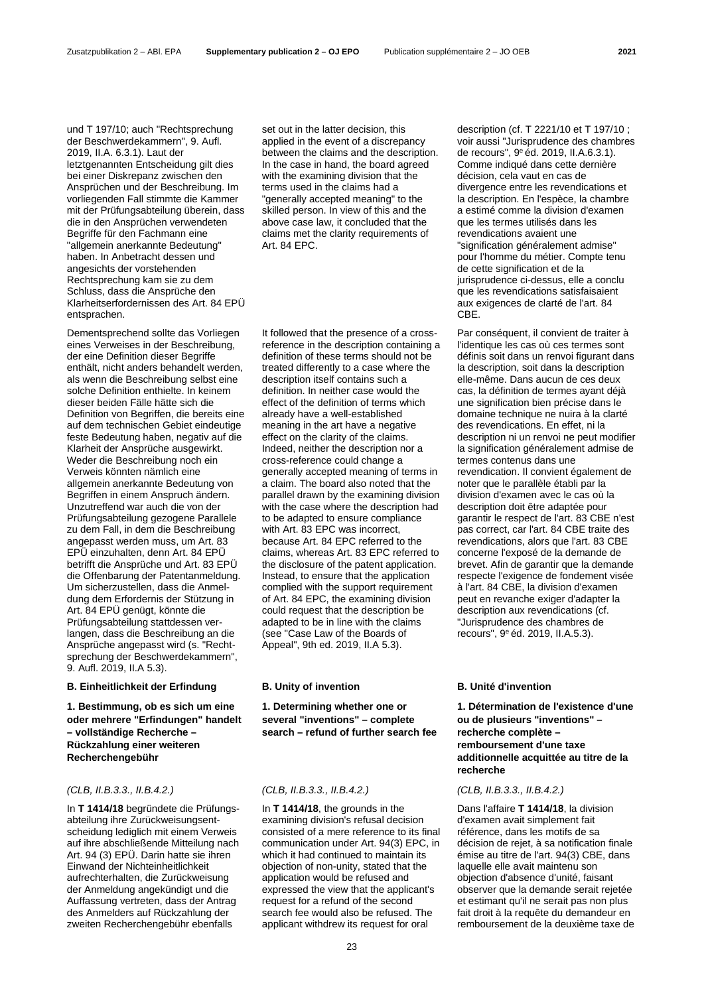und T 197/10; auch "Rechtsprechung der Beschwerdekammern", 9. Aufl. 2019, II.A. 6.3.1). Laut der letztgenannten Entscheidung gilt dies bei einer Diskrepanz zwischen den Ansprüchen und der Beschreibung. Im vorliegenden Fall stimmte die Kammer mit der Prüfungsabteilung überein, dass die in den Ansprüchen verwendeten Begriffe für den Fachmann eine "allgemein anerkannte Bedeutung" haben. In Anbetracht dessen und angesichts der vorstehenden Rechtsprechung kam sie zu dem Schluss, dass die Ansprüche den Klarheitserfordernissen des Art. 84 EPÜ entsprachen.

Dementsprechend sollte das Vorliegen eines Verweises in der Beschreibung, der eine Definition dieser Begriffe enthält, nicht anders behandelt werden, als wenn die Beschreibung selbst eine solche Definition enthielte. In keinem dieser beiden Fälle hätte sich die Definition von Begriffen, die bereits eine auf dem technischen Gebiet eindeutige feste Bedeutung haben, negativ auf die Klarheit der Ansprüche ausgewirkt. Weder die Beschreibung noch ein Verweis könnten nämlich eine allgemein anerkannte Bedeutung von Begriffen in einem Anspruch ändern. Unzutreffend war auch die von der Prüfungsabteilung gezogene Parallele zu dem Fall, in dem die Beschreibung angepasst werden muss, um Art. 83 EPÜ einzuhalten, denn Art. 84 EPÜ betrifft die Ansprüche und Art. 83 EPÜ die Offenbarung der Patentanmeldung. Um sicherzustellen, dass die Anmeldung dem Erfordernis der Stützung in Art. 84 EPÜ genügt, könnte die Prüfungsabteilung stattdessen verlangen, dass die Beschreibung an die Ansprüche angepasst wird (s. "Rechtsprechung der Beschwerdekammern", 9. Aufl. 2019, II.A 5.3).

### **B. Einheitlichkeit der Erfindung B. Unity of invention B. Unité d'invention**

**1. Bestimmung, ob es sich um eine oder mehrere "Erfindungen" handelt – vollständige Recherche – Rückzahlung einer weiteren Recherchengebühr**

In **T 1414/18** begründete die Prüfungsabteilung ihre Zurückweisungsentscheidung lediglich mit einem Verweis auf ihre abschließende Mitteilung nach Art. 94 (3) EPÜ. Darin hatte sie ihren Einwand der Nichteinheitlichkeit aufrechterhalten, die Zurückweisung der Anmeldung angekündigt und die Auffassung vertreten, dass der Antrag des Anmelders auf Rückzahlung der zweiten Recherchengebühr ebenfalls

set out in the latter decision, this applied in the event of a discrepancy between the claims and the description. In the case in hand, the board agreed with the examining division that the terms used in the claims had a "generally accepted meaning" to the skilled person. In view of this and the above case law, it concluded that the claims met the clarity requirements of Art. 84 EPC.

It followed that the presence of a crossreference in the description containing a definition of these terms should not be treated differently to a case where the description itself contains such a definition. In neither case would the effect of the definition of terms which already have a well-established meaning in the art have a negative effect on the clarity of the claims. Indeed, neither the description nor a cross-reference could change a generally accepted meaning of terms in a claim. The board also noted that the parallel drawn by the examining division with the case where the description had to be adapted to ensure compliance with Art. 83 EPC was incorrect, because Art. 84 EPC referred to the claims, whereas Art. 83 EPC referred to the disclosure of the patent application. Instead, to ensure that the application complied with the support requirement of Art. 84 EPC, the examining division could request that the description be adapted to be in line with the claims (see "Case Law of the Boards of Appeal", 9th ed. 2019, II.A 5.3).

**1. Determining whether one or several "inventions" – complete search – refund of further search fee**

# *(CLB, II.B.3.3., II.B.4.2.) (CLB, II.B.3.3., II.B.4.2.) (CLB, II.B.3.3., II.B.4.2.)*

In **T 1414/18**, the grounds in the examining division's refusal decision consisted of a mere reference to its final communication under Art. 94(3) EPC, in which it had continued to maintain its objection of non-unity, stated that the application would be refused and expressed the view that the applicant's request for a refund of the second search fee would also be refused. The applicant withdrew its request for oral

description (cf. T 2221/10 et T 197/10 ; voir aussi "Jurisprudence des chambres de recours", 9e éd. 2019, II.A.6.3.1). Comme indiqué dans cette dernière décision, cela vaut en cas de divergence entre les revendications et la description. En l'espèce, la chambre a estimé comme la division d'examen que les termes utilisés dans les revendications avaient une "signification généralement admise" pour l'homme du métier. Compte tenu de cette signification et de la jurisprudence ci-dessus, elle a conclu que les revendications satisfaisaient aux exigences de clarté de l'art. 84 CBE.

Par conséquent, il convient de traiter à l'identique les cas où ces termes sont définis soit dans un renvoi figurant dans la description, soit dans la description elle-même. Dans aucun de ces deux cas, la définition de termes ayant déjà une signification bien précise dans le domaine technique ne nuira à la clarté des revendications. En effet, ni la description ni un renvoi ne peut modifier la signification généralement admise de termes contenus dans une revendication. Il convient également de noter que le parallèle établi par la division d'examen avec le cas où la description doit être adaptée pour garantir le respect de l'art. 83 CBE n'est pas correct, car l'art. 84 CBE traite des revendications, alors que l'art. 83 CBE concerne l'exposé de la demande de brevet. Afin de garantir que la demande respecte l'exigence de fondement visée à l'art. 84 CBE, la division d'examen peut en revanche exiger d'adapter la description aux revendications (cf. "Jurisprudence des chambres de recours", 9e éd. 2019, II.A.5.3).

**1. Détermination de l'existence d'une ou de plusieurs "inventions" – recherche complète – remboursement d'une taxe additionnelle acquittée au titre de la recherche**

Dans l'affaire **T 1414/18**, la division d'examen avait simplement fait référence, dans les motifs de sa décision de rejet, à sa notification finale émise au titre de l'art. 94(3) CBE, dans laquelle elle avait maintenu son objection d'absence d'unité, faisant observer que la demande serait rejetée et estimant qu'il ne serait pas non plus fait droit à la requête du demandeur en remboursement de la deuxième taxe de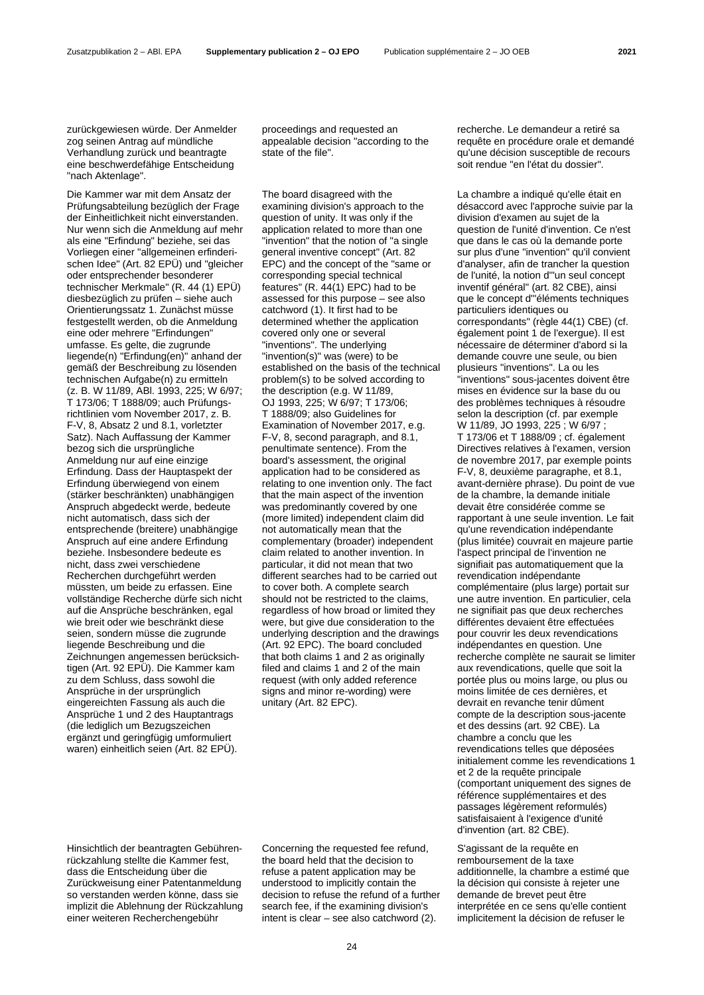zurückgewiesen würde. Der Anmelder zog seinen Antrag auf mündliche Verhandlung zurück und beantragte eine beschwerdefähige Entscheidung "nach Aktenlage".

Die Kammer war mit dem Ansatz der Prüfungsabteilung bezüglich der Frage der Einheitlichkeit nicht einverstanden. Nur wenn sich die Anmeldung auf mehr als eine "Erfindung" beziehe, sei das Vorliegen einer "allgemeinen erfinderischen Idee" (Art. 82 EPÜ) und "gleicher oder entsprechender besonderer technischer Merkmale" (R. 44 (1) EPÜ) diesbezüglich zu prüfen – siehe auch Orientierungssatz 1. Zunächst müsse festgestellt werden, ob die Anmeldung eine oder mehrere "Erfindungen" umfasse. Es gelte, die zugrunde liegende(n) "Erfindung(en)" anhand der gemäß der Beschreibung zu lösenden technischen Aufgabe(n) zu ermitteln (z. B. W 11/89, ABl. 1993, 225; W 6/97; T 173/06; T 1888/09; auch Prüfungsrichtlinien vom November 2017, z. B. F-V, 8, Absatz 2 und 8.1, vorletzter Satz). Nach Auffassung der Kammer bezog sich die ursprüngliche Anmeldung nur auf eine einzige Erfindung. Dass der Hauptaspekt der Erfindung überwiegend von einem (stärker beschränkten) unabhängigen Anspruch abgedeckt werde, bedeute nicht automatisch, dass sich der entsprechende (breitere) unabhängige Anspruch auf eine andere Erfindung beziehe. Insbesondere bedeute es nicht, dass zwei verschiedene Recherchen durchgeführt werden müssten, um beide zu erfassen. Eine vollständige Recherche dürfe sich nicht auf die Ansprüche beschränken, egal wie breit oder wie beschränkt diese seien, sondern müsse die zugrunde liegende Beschreibung und die Zeichnungen angemessen berücksichtigen (Art. 92 EPÜ). Die Kammer kam zu dem Schluss, dass sowohl die Ansprüche in der ursprünglich eingereichten Fassung als auch die Ansprüche 1 und 2 des Hauptantrags (die lediglich um Bezugszeichen ergänzt und geringfügig umformuliert waren) einheitlich seien (Art. 82 EPÜ).

proceedings and requested an appealable decision "according to the state of the file".

The board disagreed with the examining division's approach to the question of unity. It was only if the application related to more than one "invention" that the notion of "a single general inventive concept" (Art. 82 EPC) and the concept of the "same or corresponding special technical features" (R. 44(1) EPC) had to be assessed for this purpose – see also catchword (1). It first had to be determined whether the application covered only one or several "inventions". The underlying "invention(s)" was (were) to be established on the basis of the technical problem(s) to be solved according to the description (e.g. W 11/89, OJ 1993, 225; W 6/97; T 173/06; T 1888/09; also Guidelines for Examination of November 2017, e.g. F-V, 8, second paragraph, and 8.1, penultimate sentence). From the board's assessment, the original application had to be considered as relating to one invention only. The fact that the main aspect of the invention was predominantly covered by one (more limited) independent claim did not automatically mean that the complementary (broader) independent claim related to another invention. In particular, it did not mean that two different searches had to be carried out to cover both. A complete search should not be restricted to the claims, regardless of how broad or limited they were, but give due consideration to the underlying description and the drawings (Art. 92 EPC). The board concluded that both claims 1 and 2 as originally filed and claims 1 and 2 of the main request (with only added reference signs and minor re-wording) were unitary (Art. 82 EPC).

recherche. Le demandeur a retiré sa requête en procédure orale et demandé qu'une décision susceptible de recours soit rendue "en l'état du dossier".

La chambre a indiqué qu'elle était en désaccord avec l'approche suivie par la division d'examen au sujet de la question de l'unité d'invention. Ce n'est que dans le cas où la demande porte sur plus d'une "invention" qu'il convient d'analyser, afin de trancher la question de l'unité, la notion d'"un seul concept inventif général" (art. 82 CBE), ainsi que le concept d'"éléments techniques particuliers identiques ou correspondants" (règle 44(1) CBE) (cf. également point 1 de l'exergue). Il est nécessaire de déterminer d'abord si la demande couvre une seule, ou bien plusieurs "inventions". La ou les "inventions" sous-jacentes doivent être mises en évidence sur la base du ou des problèmes techniques à résoudre selon la description (cf. par exemple W 11/89, JO 1993, 225 ; W 6/97 ; T 173/06 et T 1888/09 ; cf. également Directives relatives à l'examen, version de novembre 2017, par exemple points F-V, 8, deuxième paragraphe, et 8.1, avant-dernière phrase). Du point de vue de la chambre, la demande initiale devait être considérée comme se rapportant à une seule invention. Le fait qu'une revendication indépendante (plus limitée) couvrait en majeure partie l'aspect principal de l'invention ne signifiait pas automatiquement que la revendication indépendante complémentaire (plus large) portait sur une autre invention. En particulier, cela ne signifiait pas que deux recherches différentes devaient être effectuées pour couvrir les deux revendications indépendantes en question. Une recherche complète ne saurait se limiter aux revendications, quelle que soit la portée plus ou moins large, ou plus ou moins limitée de ces dernières, et devrait en revanche tenir dûment compte de la description sous-jacente et des dessins (art. 92 CBE). La chambre a conclu que les revendications telles que déposées initialement comme les revendications 1 et 2 de la requête principale (comportant uniquement des signes de référence supplémentaires et des passages légèrement reformulés) satisfaisaient à l'exigence d'unité d'invention (art. 82 CBE).

S'agissant de la requête en remboursement de la taxe additionnelle, la chambre a estimé que la décision qui consiste à rejeter une demande de brevet peut être interprétée en ce sens qu'elle contient implicitement la décision de refuser le

Hinsichtlich der beantragten Gebührenrückzahlung stellte die Kammer fest, dass die Entscheidung über die Zurückweisung einer Patentanmeldung so verstanden werden könne, dass sie implizit die Ablehnung der Rückzahlung einer weiteren Recherchengebühr

Concerning the requested fee refund, the board held that the decision to refuse a patent application may be understood to implicitly contain the decision to refuse the refund of a further search fee, if the examining division's intent is clear – see also catchword (2).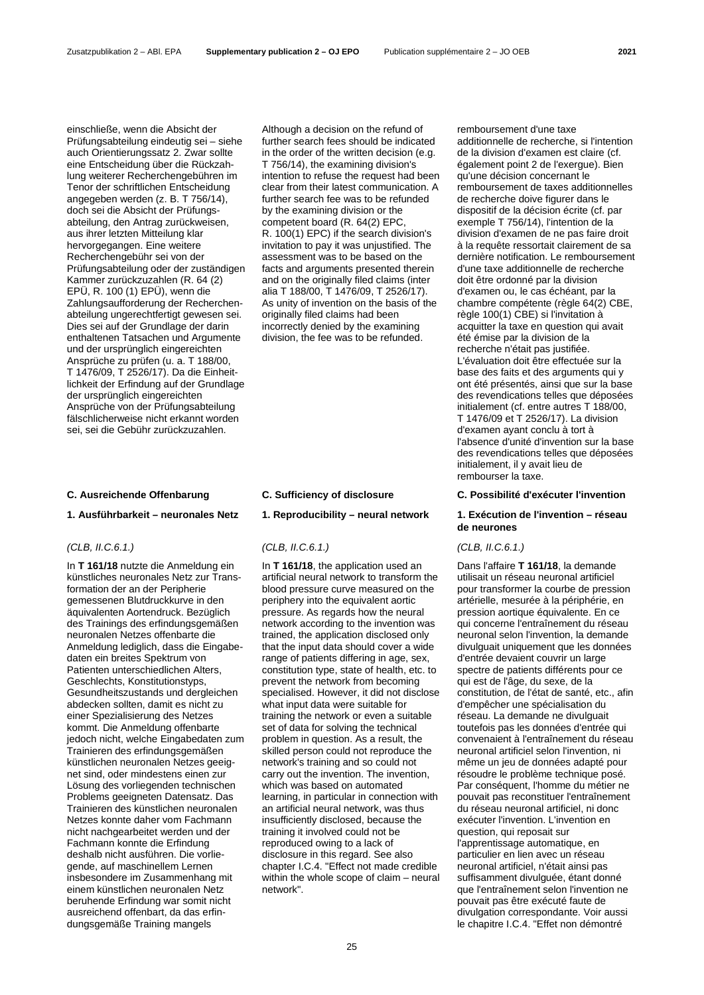einschließe, wenn die Absicht der Prüfungsabteilung eindeutig sei – siehe auch Orientierungssatz 2. Zwar sollte eine Entscheidung über die Rückzahlung weiterer Recherchengebühren im Tenor der schriftlichen Entscheidung angegeben werden (z. B. T 756/14), doch sei die Absicht der Prüfungsabteilung, den Antrag zurückweisen, aus ihrer letzten Mitteilung klar hervorgegangen. Eine weitere Recherchengebühr sei von der Prüfungsabteilung oder der zuständigen Kammer zurückzuzahlen (R. 64 (2) EPÜ, R. 100 (1) EPÜ), wenn die Zahlungsaufforderung der Recherchenabteilung ungerechtfertigt gewesen sei. Dies sei auf der Grundlage der darin enthaltenen Tatsachen und Argumente und der ursprünglich eingereichten Ansprüche zu prüfen (u. a. T 188/00, T 1476/09, T 2526/17). Da die Einheitlichkeit der Erfindung auf der Grundlage der ursprünglich eingereichten Ansprüche von der Prüfungsabteilung fälschlicherweise nicht erkannt worden sei, sei die Gebühr zurückzuzahlen.

### **1. Ausführbarkeit – neuronales Netz 1. Reproducibility – neural network 1. Exécution de l'invention – réseau**

### *(CLB, II.C.6.1.) (CLB, II.C.6.1.) (CLB, II.C.6.1.)*

In **T 161/18** nutzte die Anmeldung ein künstliches neuronales Netz zur Transformation der an der Peripherie gemessenen Blutdruckkurve in den äquivalenten Aortendruck. Bezüglich des Trainings des erfindungsgemäßen neuronalen Netzes offenbarte die Anmeldung lediglich, dass die Eingabedaten ein breites Spektrum von Patienten unterschiedlichen Alters, Geschlechts, Konstitutionstyps, Gesundheitszustands und dergleichen abdecken sollten, damit es nicht zu einer Spezialisierung des Netzes kommt. Die Anmeldung offenbarte jedoch nicht, welche Eingabedaten zum Trainieren des erfindungsgemäßen künstlichen neuronalen Netzes geeignet sind, oder mindestens einen zur Lösung des vorliegenden technischen Problems geeigneten Datensatz. Das Trainieren des künstlichen neuronalen Netzes konnte daher vom Fachmann nicht nachgearbeitet werden und der Fachmann konnte die Erfindung deshalb nicht ausführen. Die vorliegende, auf maschinellem Lernen insbesondere im Zusammenhang mit einem künstlichen neuronalen Netz beruhende Erfindung war somit nicht ausreichend offenbart, da das erfindungsgemäße Training mangels

Although a decision on the refund of further search fees should be indicated in the order of the written decision (e.g. T 756/14), the examining division's intention to refuse the request had been clear from their latest communication. A further search fee was to be refunded by the examining division or the competent board (R. 64(2) EPC, R. 100(1) EPC) if the search division's invitation to pay it was unjustified. The assessment was to be based on the facts and arguments presented therein and on the originally filed claims (inter alia T 188/00, T 1476/09, T 2526/17). As unity of invention on the basis of the originally filed claims had been incorrectly denied by the examining division, the fee was to be refunded.

In **T 161/18**, the application used an artificial neural network to transform the blood pressure curve measured on the periphery into the equivalent aortic pressure. As regards how the neural network according to the invention was trained, the application disclosed only that the input data should cover a wide range of patients differing in age, sex, constitution type, state of health, etc. to prevent the network from becoming specialised. However, it did not disclose what input data were suitable for training the network or even a suitable set of data for solving the technical problem in question. As a result, the skilled person could not reproduce the network's training and so could not carry out the invention. The invention, which was based on automated learning, in particular in connection with an artificial neural network, was thus insufficiently disclosed, because the training it involved could not be reproduced owing to a lack of disclosure in this regard. See also chapter I.C.4. "Effect not made credible within the whole scope of claim – neural network".

remboursement d'une taxe additionnelle de recherche, si l'intention de la division d'examen est claire (cf. également point 2 de l'exergue). Bien qu'une décision concernant le remboursement de taxes additionnelles de recherche doive figurer dans le dispositif de la décision écrite (cf. par exemple T 756/14), l'intention de la division d'examen de ne pas faire droit à la requête ressortait clairement de sa dernière notification. Le remboursement d'une taxe additionnelle de recherche doit être ordonné par la division d'examen ou, le cas échéant, par la chambre compétente (règle 64(2) CBE, règle 100(1) CBE) si l'invitation à acquitter la taxe en question qui avait été émise par la division de la recherche n'était pas justifiée. L'évaluation doit être effectuée sur la base des faits et des arguments qui y ont été présentés, ainsi que sur la base des revendications telles que déposées initialement (cf. entre autres T 188/00, T 1476/09 et T 2526/17). La division d'examen ayant conclu à tort à l'absence d'unité d'invention sur la base des revendications telles que déposées initialement, il y avait lieu de rembourser la taxe.

### **C. Ausreichende Offenbarung C. Sufficiency of disclosure C. Possibilité d'exécuter l'invention**

# **de neurones**

Dans l'affaire **T 161/18**, la demande utilisait un réseau neuronal artificiel pour transformer la courbe de pression artérielle, mesurée à la périphérie, en pression aortique équivalente. En ce qui concerne l'entraînement du réseau neuronal selon l'invention, la demande divulguait uniquement que les données d'entrée devaient couvrir un large spectre de patients différents pour ce qui est de l'âge, du sexe, de la constitution, de l'état de santé, etc., afin d'empêcher une spécialisation du réseau. La demande ne divulguait toutefois pas les données d'entrée qui convenaient à l'entraînement du réseau neuronal artificiel selon l'invention, ni même un jeu de données adapté pour résoudre le problème technique posé. Par conséquent, l'homme du métier ne pouvait pas reconstituer l'entraînement du réseau neuronal artificiel, ni donc exécuter l'invention. L'invention en question, qui reposait sur l'apprentissage automatique, en particulier en lien avec un réseau neuronal artificiel, n'était ainsi pas suffisamment divulguée, étant donné que l'entraînement selon l'invention ne pouvait pas être exécuté faute de divulgation correspondante. Voir aussi le chapitre I.C.4. "Effet non démontré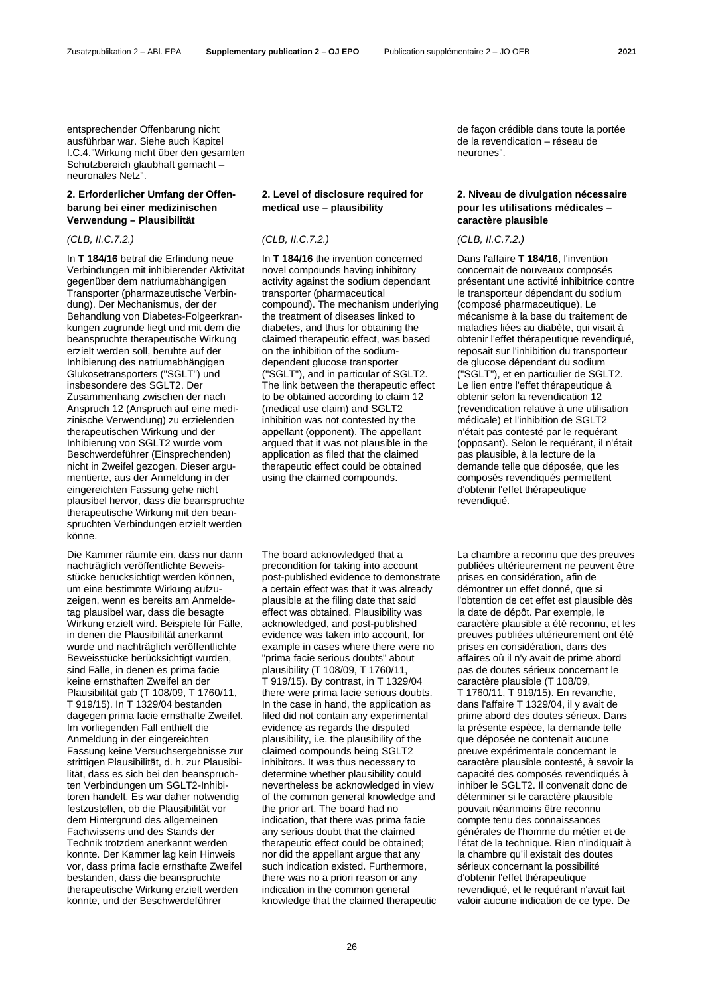Zusatzpublikation 2 – ABl. EPA **Supplementary publication 2 – OJ EPO** Publication supplémentaire 2 – JO OEB **2021**

entsprechender Offenbarung nicht ausführbar war. Siehe auch Kapitel I.C.4."Wirkung nicht über den gesamten Schutzbereich glaubhaft gemacht – neuronales Netz".

## **2. Erforderlicher Umfang der Offenbarung bei einer medizinischen Verwendung – Plausibilität**

In **T 184/16** betraf die Erfindung neue Verbindungen mit inhibierender Aktivität gegenüber dem natriumabhängigen Transporter (pharmazeutische Verbindung). Der Mechanismus, der der Behandlung von Diabetes-Folgeerkrankungen zugrunde liegt und mit dem die beanspruchte therapeutische Wirkung erzielt werden soll, beruhte auf der Inhibierung des natriumabhängigen Glukosetransporters ("SGLT") und insbesondere des SGLT2. Der Zusammenhang zwischen der nach Anspruch 12 (Anspruch auf eine medizinische Verwendung) zu erzielenden therapeutischen Wirkung und der Inhibierung von SGLT2 wurde vom Beschwerdeführer (Einsprechenden) nicht in Zweifel gezogen. Dieser argumentierte, aus der Anmeldung in der eingereichten Fassung gehe nicht plausibel hervor, dass die beanspruchte therapeutische Wirkung mit den beanspruchten Verbindungen erzielt werden könne.

Die Kammer räumte ein, dass nur dann nachträglich veröffentlichte Beweisstücke berücksichtigt werden können, um eine bestimmte Wirkung aufzuzeigen, wenn es bereits am Anmeldetag plausibel war, dass die besagte Wirkung erzielt wird. Beispiele für Fälle, in denen die Plausibilität anerkannt wurde und nachträglich veröffentlichte Beweisstücke berücksichtigt wurden, sind Fälle, in denen es prima facie keine ernsthaften Zweifel an der Plausibilität gab (T 108/09, T 1760/11, T 919/15). In T 1329/04 bestanden dagegen prima facie ernsthafte Zweifel. Im vorliegenden Fall enthielt die Anmeldung in der eingereichten Fassung keine Versuchsergebnisse zur strittigen Plausibilität, d. h. zur Plausibilität, dass es sich bei den beanspruchten Verbindungen um SGLT2-Inhibitoren handelt. Es war daher notwendig festzustellen, ob die Plausibilität vor dem Hintergrund des allgemeinen Fachwissens und des Stands der Technik trotzdem anerkannt werden konnte. Der Kammer lag kein Hinweis vor, dass prima facie ernsthafte Zweifel bestanden, dass die beanspruchte therapeutische Wirkung erzielt werden konnte, und der Beschwerdeführer

## **2. Level of disclosure required for medical use – plausibility**

### *(CLB, II.C.7.2.) (CLB, II.C.7.2.) (CLB, II.C.7.2.)*

In **T 184/16** the invention concerned novel compounds having inhibitory activity against the sodium dependant transporter (pharmaceutical compound). The mechanism underlying the treatment of diseases linked to diabetes, and thus for obtaining the claimed therapeutic effect, was based on the inhibition of the sodiumdependent glucose transporter ("SGLT"), and in particular of SGLT2. The link between the therapeutic effect to be obtained according to claim 12 (medical use claim) and SGLT2 inhibition was not contested by the appellant (opponent). The appellant argued that it was not plausible in the application as filed that the claimed therapeutic effect could be obtained using the claimed compounds.

The board acknowledged that a precondition for taking into account post-published evidence to demonstrate a certain effect was that it was already plausible at the filing date that said effect was obtained. Plausibility was acknowledged, and post-published evidence was taken into account, for example in cases where there were no "prima facie serious doubts" about plausibility (T 108/09, T 1760/11, T 919/15). By contrast, in T 1329/04 there were prima facie serious doubts. In the case in hand, the application as filed did not contain any experimental evidence as regards the disputed plausibility, i.e. the plausibility of the claimed compounds being SGLT2 inhibitors. It was thus necessary to determine whether plausibility could nevertheless be acknowledged in view of the common general knowledge and the prior art. The board had no indication, that there was prima facie any serious doubt that the claimed therapeutic effect could be obtained; nor did the appellant argue that any such indication existed. Furthermore, there was no a priori reason or any indication in the common general knowledge that the claimed therapeutic

de façon crédible dans toute la portée de la revendication – réseau de neurones".

# **2. Niveau de divulgation nécessaire pour les utilisations médicales – caractère plausible**

Dans l'affaire **T 184/16**, l'invention concernait de nouveaux composés présentant une activité inhibitrice contre le transporteur dépendant du sodium (composé pharmaceutique). Le mécanisme à la base du traitement de maladies liées au diabète, qui visait à obtenir l'effet thérapeutique revendiqué, reposait sur l'inhibition du transporteur de glucose dépendant du sodium ("SGLT"), et en particulier de SGLT2. Le lien entre l'effet thérapeutique à obtenir selon la revendication 12 (revendication relative à une utilisation médicale) et l'inhibition de SGLT2 n'était pas contesté par le requérant (opposant). Selon le requérant, il n'était pas plausible, à la lecture de la demande telle que déposée, que les composés revendiqués permettent d'obtenir l'effet thérapeutique revendiqué.

La chambre a reconnu que des preuves publiées ultérieurement ne peuvent être prises en considération, afin de démontrer un effet donné, que si l'obtention de cet effet est plausible dès la date de dépôt. Par exemple, le caractère plausible a été reconnu, et les preuves publiées ultérieurement ont été prises en considération, dans des affaires où il n'y avait de prime abord pas de doutes sérieux concernant le caractère plausible (T 108/09, T 1760/11, T 919/15). En revanche, dans l'affaire T 1329/04, il y avait de prime abord des doutes sérieux. Dans la présente espèce, la demande telle que déposée ne contenait aucune preuve expérimentale concernant le caractère plausible contesté, à savoir la capacité des composés revendiqués à inhiber le SGLT2. Il convenait donc de déterminer si le caractère plausible pouvait néanmoins être reconnu compte tenu des connaissances générales de l'homme du métier et de l'état de la technique. Rien n'indiquait à la chambre qu'il existait des doutes sérieux concernant la possibilité d'obtenir l'effet thérapeutique revendiqué, et le requérant n'avait fait valoir aucune indication de ce type. De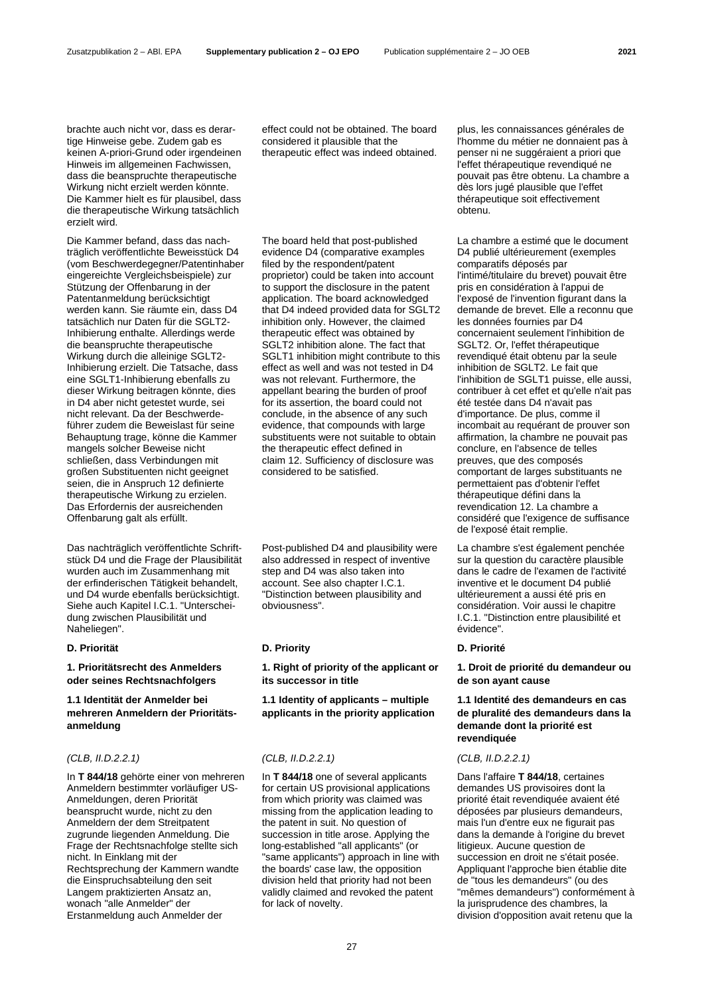brachte auch nicht vor, dass es derartige Hinweise gebe. Zudem gab es keinen A-priori-Grund oder irgendeinen Hinweis im allgemeinen Fachwissen, dass die beanspruchte therapeutische Wirkung nicht erzielt werden könnte. Die Kammer hielt es für plausibel, dass die therapeutische Wirkung tatsächlich erzielt wird.

Die Kammer befand, dass das nachträglich veröffentlichte Beweisstück D4 (vom Beschwerdegegner/Patentinhaber eingereichte Vergleichsbeispiele) zur Stützung der Offenbarung in der Patentanmeldung berücksichtigt werden kann. Sie räumte ein, dass D4 tatsächlich nur Daten für die SGLT2- Inhibierung enthalte. Allerdings werde die beanspruchte therapeutische Wirkung durch die alleinige SGLT2- Inhibierung erzielt. Die Tatsache, dass eine SGLT1-Inhibierung ebenfalls zu dieser Wirkung beitragen könnte, dies in D4 aber nicht getestet wurde, sei nicht relevant. Da der Beschwerdeführer zudem die Beweislast für seine Behauptung trage, könne die Kammer mangels solcher Beweise nicht schließen, dass Verbindungen mit großen Substituenten nicht geeignet seien, die in Anspruch 12 definierte therapeutische Wirkung zu erzielen. Das Erfordernis der ausreichenden Offenbarung galt als erfüllt.

Das nachträglich veröffentlichte Schriftstück D4 und die Frage der Plausibilität wurden auch im Zusammenhang mit der erfinderischen Tätigkeit behandelt, und D4 wurde ebenfalls berücksichtigt. Siehe auch Kapitel I.C.1. "Unterscheidung zwischen Plausibilität und Naheliegen".

# **1. Prioritätsrecht des Anmelders oder seines Rechtsnachfolgers**

**1.1 Identität der Anmelder bei mehreren Anmeldern der Prioritätsanmeldung**

### *(CLB, II.D.2.2.1) (CLB, II.D.2.2.1) (CLB, II.D.2.2.1)*

In **T 844/18** gehörte einer von mehreren Anmeldern bestimmter vorläufiger US-Anmeldungen, deren Priorität beansprucht wurde, nicht zu den Anmeldern der dem Streitpatent zugrunde liegenden Anmeldung. Die Frage der Rechtsnachfolge stellte sich nicht. In Einklang mit der Rechtsprechung der Kammern wandte die Einspruchsabteilung den seit Langem praktizierten Ansatz an, wonach "alle Anmelder" der Erstanmeldung auch Anmelder der

effect could not be obtained. The board considered it plausible that the therapeutic effect was indeed obtained.

The board held that post-published evidence D4 (comparative examples filed by the respondent/patent proprietor) could be taken into account to support the disclosure in the patent application. The board acknowledged that D4 indeed provided data for SGLT2 inhibition only. However, the claimed therapeutic effect was obtained by SGLT2 inhibition alone. The fact that SGLT1 inhibition might contribute to this effect as well and was not tested in D4 was not relevant. Furthermore, the appellant bearing the burden of proof for its assertion, the board could not conclude, in the absence of any such evidence, that compounds with large substituents were not suitable to obtain the therapeutic effect defined in claim 12. Sufficiency of disclosure was considered to be satisfied.

Post-published D4 and plausibility were also addressed in respect of inventive step and D4 was also taken into account. See also chapter I.C.1. "Distinction between plausibility and obviousness".

# **D. Priorität D. Priority D. Priorité**

**1. Right of priority of the applicant or its successor in title**

**1.1 Identity of applicants – multiple applicants in the priority application**

In **T 844/18** one of several applicants for certain US provisional applications from which priority was claimed was missing from the application leading to the patent in suit. No question of succession in title arose. Applying the long-established "all applicants" (or "same applicants") approach in line with the boards' case law, the opposition division held that priority had not been validly claimed and revoked the patent for lack of novelty.

plus, les connaissances générales de l'homme du métier ne donnaient pas à penser ni ne suggéraient a priori que l'effet thérapeutique revendiqué ne pouvait pas être obtenu. La chambre a dès lors jugé plausible que l'effet thérapeutique soit effectivement obtenu.

La chambre a estimé que le document D4 publié ultérieurement (exemples comparatifs déposés par l'intimé/titulaire du brevet) pouvait être pris en considération à l'appui de l'exposé de l'invention figurant dans la demande de brevet. Elle a reconnu que les données fournies par D4 concernaient seulement l'inhibition de SGLT2. Or, l'effet thérapeutique revendiqué était obtenu par la seule inhibition de SGLT2. Le fait que l'inhibition de SGLT1 puisse, elle aussi, contribuer à cet effet et qu'elle n'ait pas été testée dans D4 n'avait pas d'importance. De plus, comme il incombait au requérant de prouver son affirmation, la chambre ne pouvait pas conclure, en l'absence de telles preuves, que des composés comportant de larges substituants ne permettaient pas d'obtenir l'effet thérapeutique défini dans la revendication 12. La chambre a considéré que l'exigence de suffisance de l'exposé était remplie.

La chambre s'est également penchée sur la question du caractère plausible dans le cadre de l'examen de l'activité inventive et le document D4 publié ultérieurement a aussi été pris en considération. Voir aussi le chapitre I.C.1. "Distinction entre plausibilité et évidence".

**1. Droit de priorité du demandeur ou de son ayant cause**

# **1.1 Identité des demandeurs en cas de pluralité des demandeurs dans la demande dont la priorité est revendiquée**

Dans l'affaire **T 844/18**, certaines demandes US provisoires dont la priorité était revendiquée avaient été déposées par plusieurs demandeurs, mais l'un d'entre eux ne figurait pas dans la demande à l'origine du brevet litigieux. Aucune question de succession en droit ne s'était posée. Appliquant l'approche bien établie dite de "tous les demandeurs" (ou des "mêmes demandeurs") conformément à la jurisprudence des chambres, la division d'opposition avait retenu que la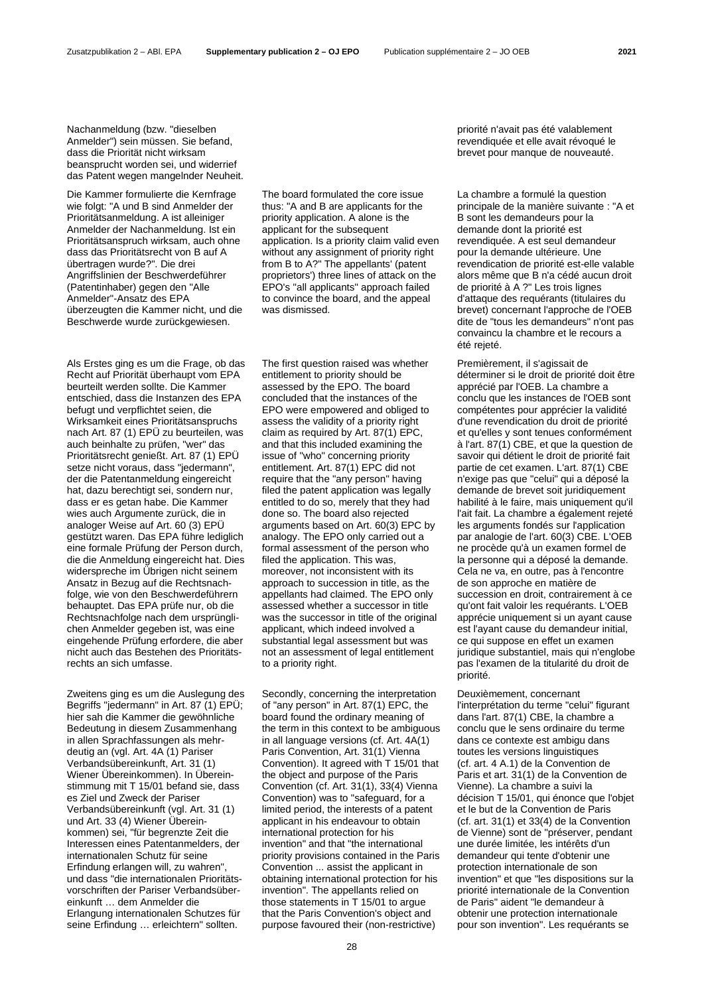Nachanmeldung (bzw. "dieselben Anmelder") sein müssen. Sie befand, dass die Priorität nicht wirksam beansprucht worden sei, und widerrief das Patent wegen mangelnder Neuheit.

Die Kammer formulierte die Kernfrage wie folgt: "A und B sind Anmelder der Prioritätsanmeldung. A ist alleiniger Anmelder der Nachanmeldung. Ist ein Prioritätsanspruch wirksam, auch ohne dass das Prioritätsrecht von B auf A übertragen wurde?". Die drei Angriffslinien der Beschwerdeführer (Patentinhaber) gegen den "Alle Anmelder"-Ansatz des EPA überzeugten die Kammer nicht, und die Beschwerde wurde zurückgewiesen.

Als Erstes ging es um die Frage, ob das Recht auf Priorität überhaupt vom EPA beurteilt werden sollte. Die Kammer entschied, dass die Instanzen des EPA befugt und verpflichtet seien, die Wirksamkeit eines Prioritätsanspruchs nach Art. 87 (1) EPÜ zu beurteilen, was auch beinhalte zu prüfen, "wer" das Prioritätsrecht genießt. Art. 87 (1) EPÜ setze nicht voraus, dass "jedermann", der die Patentanmeldung eingereicht hat, dazu berechtigt sei, sondern nur, dass er es getan habe. Die Kammer wies auch Argumente zurück, die in analoger Weise auf Art. 60 (3) EPÜ gestützt waren. Das EPA führe lediglich eine formale Prüfung der Person durch, die die Anmeldung eingereicht hat. Dies widerspreche im Übrigen nicht seinem Ansatz in Bezug auf die Rechtsnachfolge, wie von den Beschwerdeführern behauptet. Das EPA prüfe nur, ob die Rechtsnachfolge nach dem ursprünglichen Anmelder gegeben ist, was eine eingehende Prüfung erfordere, die aber nicht auch das Bestehen des Prioritätsrechts an sich umfasse.

Zweitens ging es um die Auslegung des Begriffs "jedermann" in Art. 87 (1) EPÜ; hier sah die Kammer die gewöhnliche Bedeutung in diesem Zusammenhang in allen Sprachfassungen als mehrdeutig an (vgl. Art. 4A (1) Pariser Verbandsübereinkunft, Art. 31 (1) Wiener Übereinkommen). In Übereinstimmung mit T 15/01 befand sie, dass es Ziel und Zweck der Pariser Verbandsübereinkunft (vgl. Art. 31 (1) und Art. 33 (4) Wiener Übereinkommen) sei, "für begrenzte Zeit die Interessen eines Patentanmelders, der internationalen Schutz für seine Erfindung erlangen will, zu wahren", und dass "die internationalen Prioritätsvorschriften der Pariser Verbandsübereinkunft … dem Anmelder die Erlangung internationalen Schutzes für seine Erfindung … erleichtern" sollten.

The board formulated the core issue thus: "A and B are applicants for the priority application. A alone is the applicant for the subsequent application. Is a priority claim valid even without any assignment of priority right from B to A?" The appellants' (patent proprietors') three lines of attack on the EPO's "all applicants" approach failed to convince the board, and the appeal was dismissed.

The first question raised was whether entitlement to priority should be assessed by the EPO. The board concluded that the instances of the EPO were empowered and obliged to assess the validity of a priority right claim as required by Art. 87(1) EPC, and that this included examining the issue of "who" concerning priority entitlement. Art. 87(1) EPC did not require that the "any person" having filed the patent application was legally entitled to do so, merely that they had done so. The board also rejected arguments based on Art. 60(3) EPC by analogy. The EPO only carried out a formal assessment of the person who filed the application. This was, moreover, not inconsistent with its approach to succession in title, as the appellants had claimed. The EPO only assessed whether a successor in title was the successor in title of the original applicant, which indeed involved a substantial legal assessment but was not an assessment of legal entitlement to a priority right.

Secondly, concerning the interpretation of "any person" in Art. 87(1) EPC, the board found the ordinary meaning of the term in this context to be ambiguous in all language versions (cf. Art. 4A(1) Paris Convention, Art. 31(1) Vienna Convention). It agreed with T 15/01 that the object and purpose of the Paris Convention (cf. Art. 31(1), 33(4) Vienna Convention) was to "safeguard, for a limited period, the interests of a patent applicant in his endeavour to obtain international protection for his invention" and that "the international priority provisions contained in the Paris Convention ... assist the applicant in obtaining international protection for his invention". The appellants relied on those statements in T 15/01 to argue that the Paris Convention's object and purpose favoured their (non-restrictive)

priorité n'avait pas été valablement revendiquée et elle avait révoqué le brevet pour manque de nouveauté.

La chambre a formulé la question principale de la manière suivante : "A et B sont les demandeurs pour la demande dont la priorité est revendiquée. A est seul demandeur pour la demande ultérieure. Une revendication de priorité est-elle valable alors même que B n'a cédé aucun droit de priorité à A ?" Les trois lignes d'attaque des requérants (titulaires du brevet) concernant l'approche de l'OEB dite de "tous les demandeurs" n'ont pas convaincu la chambre et le recours a été rejeté.

Premièrement, il s'agissait de déterminer si le droit de priorité doit être apprécié par l'OEB. La chambre a conclu que les instances de l'OEB sont compétentes pour apprécier la validité d'une revendication du droit de priorité et qu'elles y sont tenues conformément à l'art. 87(1) CBE, et que la question de savoir qui détient le droit de priorité fait partie de cet examen. L'art. 87(1) CBE n'exige pas que "celui" qui a déposé la demande de brevet soit juridiquement habilité à le faire, mais uniquement qu'il l'ait fait. La chambre a également rejeté les arguments fondés sur l'application par analogie de l'art. 60(3) CBE. L'OEB ne procède qu'à un examen formel de la personne qui a déposé la demande. Cela ne va, en outre, pas à l'encontre de son approche en matière de succession en droit, contrairement à ce qu'ont fait valoir les requérants. L'OEB apprécie uniquement si un ayant cause est l'ayant cause du demandeur initial, ce qui suppose en effet un examen juridique substantiel, mais qui n'englobe pas l'examen de la titularité du droit de priorité.

Deuxièmement, concernant l'interprétation du terme "celui" figurant dans l'art. 87(1) CBE, la chambre a conclu que le sens ordinaire du terme dans ce contexte est ambigu dans toutes les versions linguistiques (cf. art. 4 A.1) de la Convention de Paris et art. 31(1) de la Convention de Vienne). La chambre a suivi la décision T 15/01, qui énonce que l'objet et le but de la Convention de Paris (cf. art. 31(1) et 33(4) de la Convention de Vienne) sont de "préserver, pendant une durée limitée, les intérêts d'un demandeur qui tente d'obtenir une protection internationale de son invention" et que "les dispositions sur la priorité internationale de la Convention de Paris" aident "le demandeur à obtenir une protection internationale pour son invention". Les requérants se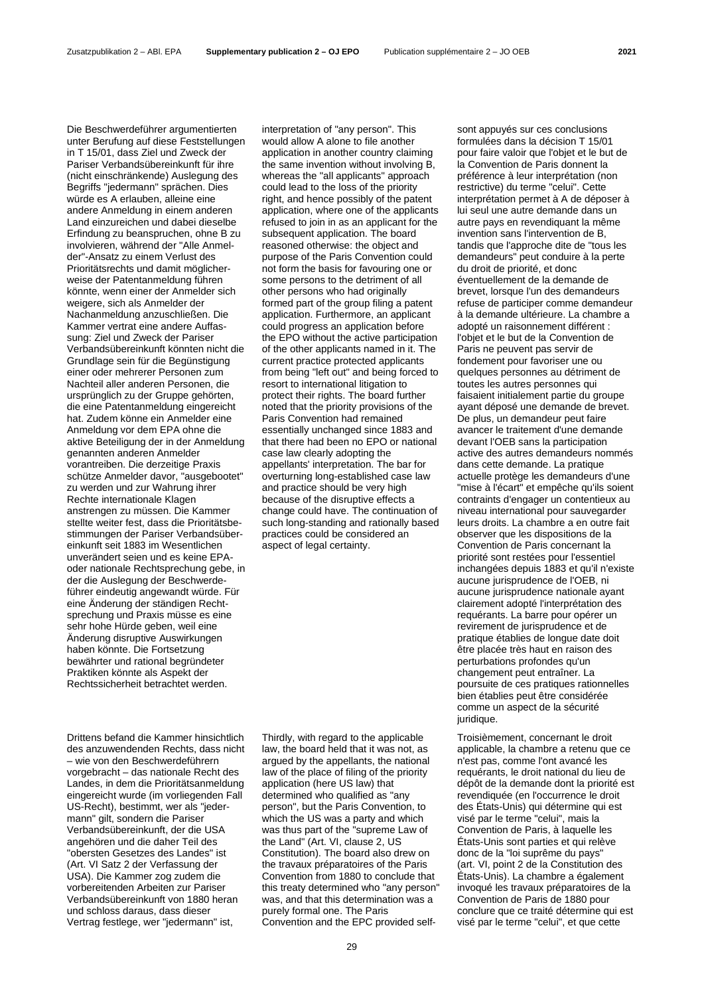Die Beschwerdeführer argumentierten unter Berufung auf diese Feststellungen in T 15/01, dass Ziel und Zweck der Pariser Verbandsübereinkunft für ihre (nicht einschränkende) Auslegung des Begriffs "jedermann" sprächen. Dies würde es A erlauben, alleine eine andere Anmeldung in einem anderen Land einzureichen und dabei dieselbe Erfindung zu beanspruchen, ohne B zu involvieren, während der "Alle Anmelder"-Ansatz zu einem Verlust des Prioritätsrechts und damit möglicherweise der Patentanmeldung führen könnte, wenn einer der Anmelder sich weigere, sich als Anmelder der Nachanmeldung anzuschließen. Die Kammer vertrat eine andere Auffassung: Ziel und Zweck der Pariser Verbandsübereinkunft könnten nicht die Grundlage sein für die Begünstigung einer oder mehrerer Personen zum Nachteil aller anderen Personen, die ursprünglich zu der Gruppe gehörten, die eine Patentanmeldung eingereicht hat. Zudem könne ein Anmelder eine Anmeldung vor dem EPA ohne die aktive Beteiligung der in der Anmeldung genannten anderen Anmelder vorantreiben. Die derzeitige Praxis schütze Anmelder davor, "ausgebootet" zu werden und zur Wahrung ihrer Rechte internationale Klagen anstrengen zu müssen. Die Kammer stellte weiter fest, dass die Prioritätsbestimmungen der Pariser Verbandsübereinkunft seit 1883 im Wesentlichen unverändert seien und es keine EPAoder nationale Rechtsprechung gebe, in der die Auslegung der Beschwerdeführer eindeutig angewandt würde. Für eine Änderung der ständigen Rechtsprechung und Praxis müsse es eine sehr hohe Hürde geben, weil eine Änderung disruptive Auswirkungen haben könnte. Die Fortsetzung

Drittens befand die Kammer hinsichtlich des anzuwendenden Rechts, dass nicht – wie von den Beschwerdeführern vorgebracht – das nationale Recht des Landes, in dem die Prioritätsanmeldung eingereicht wurde (im vorliegenden Fall US-Recht), bestimmt, wer als "jedermann" gilt, sondern die Pariser Verbandsübereinkunft, der die USA angehören und die daher Teil des "obersten Gesetzes des Landes" ist (Art. VI Satz 2 der Verfassung der USA). Die Kammer zog zudem die vorbereitenden Arbeiten zur Pariser Verbandsübereinkunft von 1880 heran und schloss daraus, dass dieser Vertrag festlege, wer "jedermann" ist,

bewährter und rational begründeter Praktiken könnte als Aspekt der Rechtssicherheit betrachtet werden. interpretation of "any person". This would allow A alone to file another application in another country claiming the same invention without involving B, whereas the "all applicants" approach could lead to the loss of the priority right, and hence possibly of the patent application, where one of the applicants refused to join in as an applicant for the subsequent application. The board reasoned otherwise: the object and purpose of the Paris Convention could not form the basis for favouring one or some persons to the detriment of all other persons who had originally formed part of the group filing a patent application. Furthermore, an applicant could progress an application before the EPO without the active participation of the other applicants named in it. The current practice protected applicants from being "left out" and being forced to resort to international litigation to protect their rights. The board further noted that the priority provisions of the Paris Convention had remained essentially unchanged since 1883 and that there had been no EPO or national case law clearly adopting the appellants' interpretation. The bar for overturning long-established case law and practice should be very high because of the disruptive effects a change could have. The continuation of such long-standing and rationally based practices could be considered an aspect of legal certainty.

Thirdly, with regard to the applicable law, the board held that it was not, as argued by the appellants, the national law of the place of filing of the priority application (here US law) that determined who qualified as "any person", but the Paris Convention, to which the US was a party and which was thus part of the "supreme Law of the Land" (Art. VI, clause 2, US Constitution). The board also drew on the travaux préparatoires of the Paris Convention from 1880 to conclude that this treaty determined who "any person" was, and that this determination was a purely formal one. The Paris Convention and the EPC provided selfsont appuyés sur ces conclusions formulées dans la décision T 15/01 pour faire valoir que l'objet et le but de la Convention de Paris donnent la préférence à leur interprétation (non restrictive) du terme "celui". Cette interprétation permet à A de déposer à lui seul une autre demande dans un autre pays en revendiquant la même invention sans l'intervention de B, tandis que l'approche dite de "tous les demandeurs" peut conduire à la perte du droit de priorité, et donc éventuellement de la demande de brevet, lorsque l'un des demandeurs refuse de participer comme demandeur à la demande ultérieure. La chambre a adopté un raisonnement différent : l'objet et le but de la Convention de Paris ne peuvent pas servir de fondement pour favoriser une ou quelques personnes au détriment de toutes les autres personnes qui faisaient initialement partie du groupe ayant déposé une demande de brevet. De plus, un demandeur peut faire avancer le traitement d'une demande devant l'OEB sans la participation active des autres demandeurs nommés dans cette demande. La pratique actuelle protège les demandeurs d'une "mise à l'écart" et empêche qu'ils soient contraints d'engager un contentieux au niveau international pour sauvegarder leurs droits. La chambre a en outre fait observer que les dispositions de la Convention de Paris concernant la priorité sont restées pour l'essentiel inchangées depuis 1883 et qu'il n'existe aucune jurisprudence de l'OEB, ni aucune jurisprudence nationale ayant clairement adopté l'interprétation des requérants. La barre pour opérer un revirement de jurisprudence et de pratique établies de longue date doit être placée très haut en raison des perturbations profondes qu'un changement peut entraîner. La poursuite de ces pratiques rationnelles bien établies peut être considérée comme un aspect de la sécurité juridique.

Troisièmement, concernant le droit applicable, la chambre a retenu que ce n'est pas, comme l'ont avancé les requérants, le droit national du lieu de dépôt de la demande dont la priorité est revendiquée (en l'occurrence le droit des États-Unis) qui détermine qui est visé par le terme "celui", mais la Convention de Paris, à laquelle les États-Unis sont parties et qui relève donc de la "loi suprême du pays" (art. VI, point 2 de la Constitution des États-Unis). La chambre a également invoqué les travaux préparatoires de la Convention de Paris de 1880 pour conclure que ce traité détermine qui est visé par le terme "celui", et que cette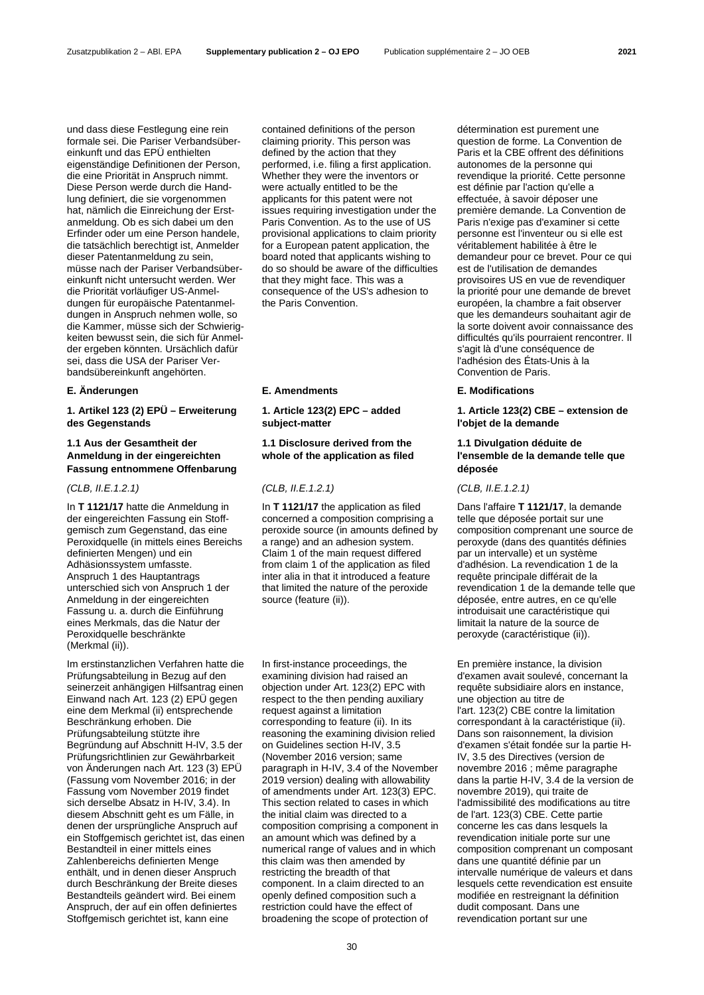und dass diese Festlegung eine rein formale sei. Die Pariser Verbandsübereinkunft und das EPÜ enthielten eigenständige Definitionen der Person, die eine Priorität in Anspruch nimmt. Diese Person werde durch die Handlung definiert, die sie vorgenommen hat, nämlich die Einreichung der Erstanmeldung. Ob es sich dabei um den Erfinder oder um eine Person handele, die tatsächlich berechtigt ist, Anmelder dieser Patentanmeldung zu sein, müsse nach der Pariser Verbandsübereinkunft nicht untersucht werden. Wer die Priorität vorläufiger US-Anmeldungen für europäische Patentanmeldungen in Anspruch nehmen wolle, so die Kammer, müsse sich der Schwierigkeiten bewusst sein, die sich für Anmelder ergeben könnten. Ursächlich dafür sei, dass die USA der Pariser Verbandsübereinkunft angehörten.

**1. Artikel 123 (2) EPÜ – Erweiterung des Gegenstands**

# **1.1 Aus der Gesamtheit der Anmeldung in der eingereichten Fassung entnommene Offenbarung**

In **T 1121/17** hatte die Anmeldung in der eingereichten Fassung ein Stoffgemisch zum Gegenstand, das eine Peroxidquelle (in mittels eines Bereichs definierten Mengen) und ein Adhäsionssystem umfasste. Anspruch 1 des Hauptantrags unterschied sich von Anspruch 1 der Anmeldung in der eingereichten Fassung u. a. durch die Einführung eines Merkmals, das die Natur der Peroxidquelle beschränkte (Merkmal (ii)).

Im erstinstanzlichen Verfahren hatte die Prüfungsabteilung in Bezug auf den seinerzeit anhängigen Hilfsantrag einen Einwand nach Art. 123 (2) EPÜ gegen eine dem Merkmal (ii) entsprechende Beschränkung erhoben. Die Prüfungsabteilung stützte ihre Begründung auf Abschnitt H-IV, 3.5 der Prüfungsrichtlinien zur Gewährbarkeit von Änderungen nach Art. 123 (3) EPÜ (Fassung vom November 2016; in der Fassung vom November 2019 findet sich derselbe Absatz in H-IV, 3.4). In diesem Abschnitt geht es um Fälle, in denen der ursprüngliche Anspruch auf ein Stoffgemisch gerichtet ist, das einen Bestandteil in einer mittels eines Zahlenbereichs definierten Menge enthält, und in denen dieser Anspruch durch Beschränkung der Breite dieses Bestandteils geändert wird. Bei einem Anspruch, der auf ein offen definiertes Stoffgemisch gerichtet ist, kann eine

contained definitions of the person claiming priority. This person was defined by the action that they performed, i.e. filing a first application. Whether they were the inventors or were actually entitled to be the applicants for this patent were not issues requiring investigation under the Paris Convention. As to the use of US provisional applications to claim priority for a European patent application, the board noted that applicants wishing to do so should be aware of the difficulties that they might face. This was a consequence of the US's adhesion to the Paris Convention.

# **E. Änderungen E. Amendments E. Modifications**

**1. Article 123(2) EPC – added subject-matter**

# **1.1 Disclosure derived from the whole of the application as filed**

# *(CLB, II.E.1.2.1) (CLB, II.E.1.2.1) (CLB, II.E.1.2.1)*

In **T 1121/17** the application as filed concerned a composition comprising a peroxide source (in amounts defined by a range) and an adhesion system. Claim 1 of the main request differed from claim 1 of the application as filed inter alia in that it introduced a feature that limited the nature of the peroxide source (feature (ii)).

In first-instance proceedings, the examining division had raised an objection under Art. 123(2) EPC with respect to the then pending auxiliary request against a limitation corresponding to feature (ii). In its reasoning the examining division relied on Guidelines section H-IV, 3.5 (November 2016 version; same paragraph in H-IV, 3.4 of the November 2019 version) dealing with allowability of amendments under Art. 123(3) EPC. This section related to cases in which the initial claim was directed to a composition comprising a component in an amount which was defined by a numerical range of values and in which this claim was then amended by restricting the breadth of that component. In a claim directed to an openly defined composition such a restriction could have the effect of broadening the scope of protection of

détermination est purement une question de forme. La Convention de Paris et la CBE offrent des définitions autonomes de la personne qui revendique la priorité. Cette personne est définie par l'action qu'elle a effectuée, à savoir déposer une première demande. La Convention de Paris n'exige pas d'examiner si cette personne est l'inventeur ou si elle est véritablement habilitée à être le demandeur pour ce brevet. Pour ce qui est de l'utilisation de demandes provisoires US en vue de revendiquer la priorité pour une demande de brevet européen, la chambre a fait observer que les demandeurs souhaitant agir de la sorte doivent avoir connaissance des difficultés qu'ils pourraient rencontrer. Il s'agit là d'une conséquence de l'adhésion des États-Unis à la Convention de Paris.

**1. Article 123(2) CBE – extension de l'objet de la demande**

# **1.1 Divulgation déduite de l'ensemble de la demande telle que déposée**

Dans l'affaire **T 1121/17**, la demande telle que déposée portait sur une composition comprenant une source de peroxyde (dans des quantités définies par un intervalle) et un système d'adhésion. La revendication 1 de la requête principale différait de la revendication 1 de la demande telle que déposée, entre autres, en ce qu'elle introduisait une caractéristique qui limitait la nature de la source de peroxyde (caractéristique (ii)).

En première instance, la division d'examen avait soulevé, concernant la requête subsidiaire alors en instance, une objection au titre de l'art. 123(2) CBE contre la limitation correspondant à la caractéristique (ii). Dans son raisonnement, la division d'examen s'était fondée sur la partie H-IV, 3.5 des Directives (version de novembre 2016 ; même paragraphe dans la partie H-IV, 3.4 de la version de novembre 2019), qui traite de l'admissibilité des modifications au titre de l'art. 123(3) CBE. Cette partie concerne les cas dans lesquels la revendication initiale porte sur une composition comprenant un composant dans une quantité définie par un intervalle numérique de valeurs et dans lesquels cette revendication est ensuite modifiée en restreignant la définition dudit composant. Dans une revendication portant sur une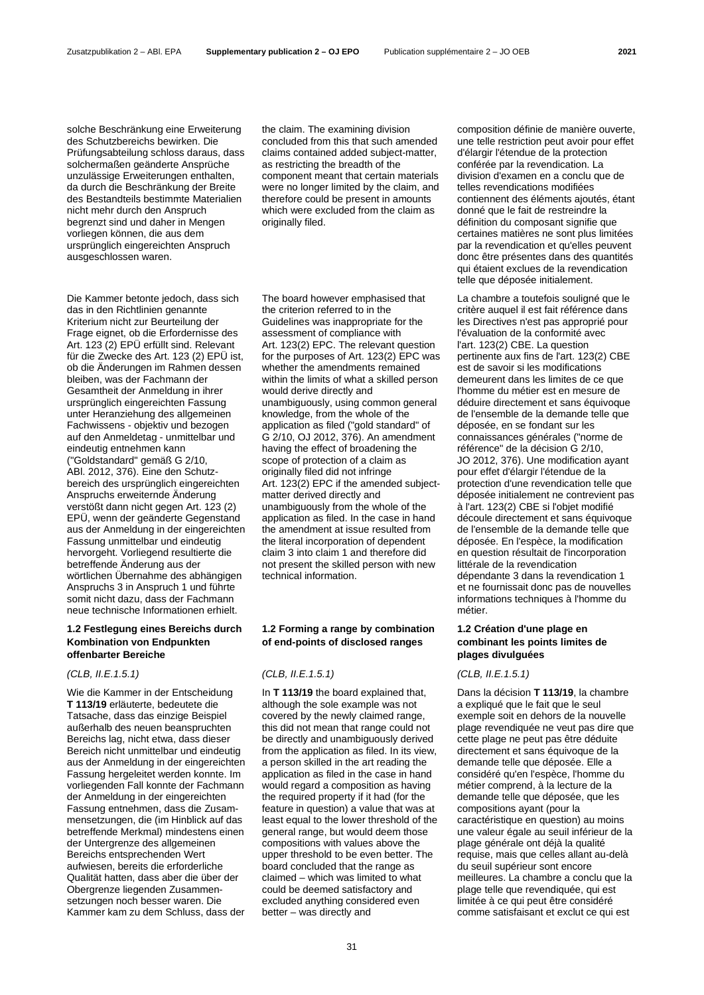solche Beschränkung eine Erweiterung des Schutzbereichs bewirken. Die Prüfungsabteilung schloss daraus, dass solchermaßen geänderte Ansprüche unzulässige Erweiterungen enthalten, da durch die Beschränkung der Breite des Bestandteils bestimmte Materialien nicht mehr durch den Anspruch begrenzt sind und daher in Mengen vorliegen können, die aus dem ursprünglich eingereichten Anspruch ausgeschlossen waren.

Die Kammer betonte jedoch, dass sich das in den Richtlinien genannte Kriterium nicht zur Beurteilung der Frage eignet, ob die Erfordernisse des Art. 123 (2) EPÜ erfüllt sind. Relevant für die Zwecke des Art. 123 (2) EPÜ ist, ob die Änderungen im Rahmen dessen bleiben, was der Fachmann der Gesamtheit der Anmeldung in ihrer ursprünglich eingereichten Fassung unter Heranziehung des allgemeinen Fachwissens - objektiv und bezogen auf den Anmeldetag - unmittelbar und eindeutig entnehmen kann ("Goldstandard" gemäß G 2/10, ABl. 2012, 376). Eine den Schutzbereich des ursprünglich eingereichten Anspruchs erweiternde Änderung verstößt dann nicht gegen Art. 123 (2) EPÜ, wenn der geänderte Gegenstand aus der Anmeldung in der eingereichten Fassung unmittelbar und eindeutig hervorgeht. Vorliegend resultierte die betreffende Änderung aus der wörtlichen Übernahme des abhängigen Anspruchs 3 in Anspruch 1 und führte somit nicht dazu, dass der Fachmann neue technische Informationen erhielt.

### **1.2 Festlegung eines Bereichs durch Kombination von Endpunkten offenbarter Bereiche**

### *(CLB, II.E.1.5.1) (CLB, II.E.1.5.1) (CLB, II.E.1.5.1)*

Wie die Kammer in der Entscheidung **T 113/19** erläuterte, bedeutete die Tatsache, dass das einzige Beispiel außerhalb des neuen beanspruchten Bereichs lag, nicht etwa, dass dieser Bereich nicht unmittelbar und eindeutig aus der Anmeldung in der eingereichten Fassung hergeleitet werden konnte. Im vorliegenden Fall konnte der Fachmann der Anmeldung in der eingereichten Fassung entnehmen, dass die Zusammensetzungen, die (im Hinblick auf das betreffende Merkmal) mindestens einen der Untergrenze des allgemeinen Bereichs entsprechenden Wert aufwiesen, bereits die erforderliche Qualität hatten, dass aber die über der Obergrenze liegenden Zusammensetzungen noch besser waren. Die Kammer kam zu dem Schluss, dass der

the claim. The examining division concluded from this that such amended claims contained added subject-matter, as restricting the breadth of the component meant that certain materials were no longer limited by the claim, and therefore could be present in amounts which were excluded from the claim as originally filed.

The board however emphasised that the criterion referred to in the Guidelines was inappropriate for the assessment of compliance with Art. 123(2) EPC. The relevant question for the purposes of Art. 123(2) EPC was whether the amendments remained within the limits of what a skilled person would derive directly and unambiguously, using common general knowledge, from the whole of the application as filed ("gold standard" of G 2/10, OJ 2012, 376). An amendment having the effect of broadening the scope of protection of a claim as originally filed did not infringe Art. 123(2) EPC if the amended subjectmatter derived directly and unambiguously from the whole of the application as filed. In the case in hand the amendment at issue resulted from the literal incorporation of dependent claim 3 into claim 1 and therefore did not present the skilled person with new technical information.

# **1.2 Forming a range by combination of end-points of disclosed ranges**

In **T 113/19** the board explained that, although the sole example was not covered by the newly claimed range, this did not mean that range could not be directly and unambiguously derived from the application as filed. In its view, a person skilled in the art reading the application as filed in the case in hand would regard a composition as having the required property if it had (for the feature in question) a value that was at least equal to the lower threshold of the general range, but would deem those compositions with values above the upper threshold to be even better. The board concluded that the range as claimed – which was limited to what could be deemed satisfactory and excluded anything considered even better – was directly and

composition définie de manière ouverte, une telle restriction peut avoir pour effet d'élargir l'étendue de la protection conférée par la revendication. La division d'examen en a conclu que de telles revendications modifiées contiennent des éléments ajoutés, étant donné que le fait de restreindre la définition du composant signifie que certaines matières ne sont plus limitées par la revendication et qu'elles peuvent donc être présentes dans des quantités qui étaient exclues de la revendication telle que déposée initialement.

La chambre a toutefois souligné que le critère auquel il est fait référence dans les Directives n'est pas approprié pour l'évaluation de la conformité avec l'art. 123(2) CBE. La question pertinente aux fins de l'art. 123(2) CBE est de savoir si les modifications demeurent dans les limites de ce que l'homme du métier est en mesure de déduire directement et sans équivoque de l'ensemble de la demande telle que déposée, en se fondant sur les connaissances générales ("norme de référence" de la décision G 2/10, JO 2012, 376). Une modification ayant pour effet d'élargir l'étendue de la protection d'une revendication telle que déposée initialement ne contrevient pas à l'art. 123(2) CBE si l'objet modifié découle directement et sans équivoque de l'ensemble de la demande telle que déposée. En l'espèce, la modification en question résultait de l'incorporation littérale de la revendication dépendante 3 dans la revendication 1 et ne fournissait donc pas de nouvelles informations techniques à l'homme du métier.

# **1.2 Création d'une plage en combinant les points limites de plages divulguées**

Dans la décision **T 113/19**, la chambre a expliqué que le fait que le seul exemple soit en dehors de la nouvelle plage revendiquée ne veut pas dire que cette plage ne peut pas être déduite directement et sans équivoque de la demande telle que déposée. Elle a considéré qu'en l'espèce, l'homme du métier comprend, à la lecture de la demande telle que déposée, que les compositions ayant (pour la caractéristique en question) au moins une valeur égale au seuil inférieur de la plage générale ont déjà la qualité requise, mais que celles allant au-delà du seuil supérieur sont encore meilleures. La chambre a conclu que la plage telle que revendiquée, qui est limitée à ce qui peut être considéré comme satisfaisant et exclut ce qui est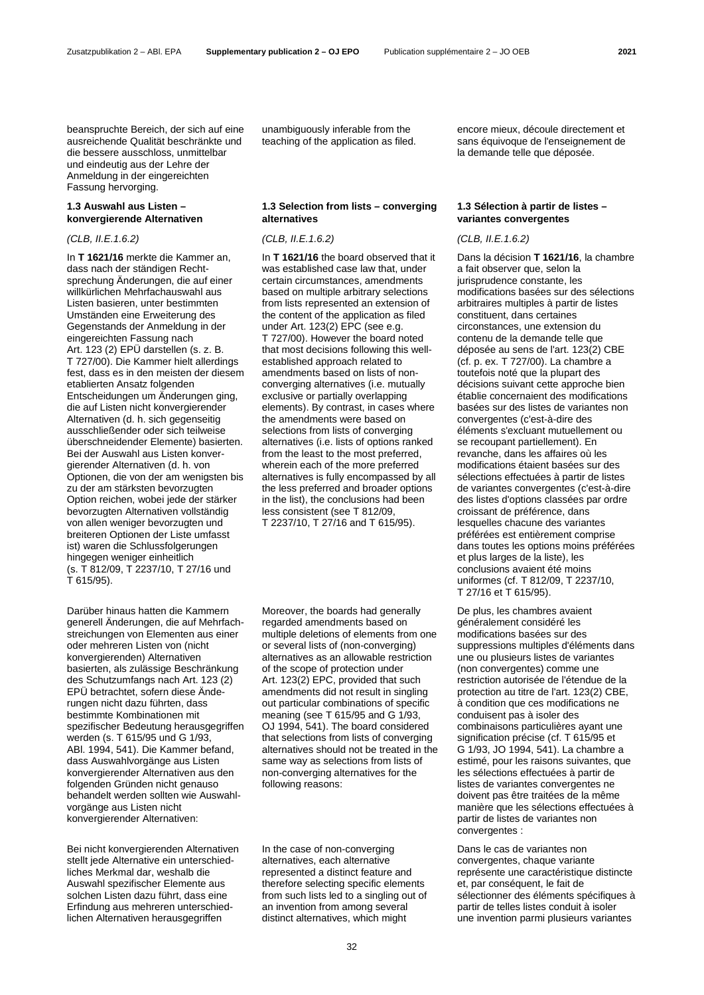beanspruchte Bereich, der sich auf eine ausreichende Qualität beschränkte und die bessere ausschloss, unmittelbar und eindeutig aus der Lehre der Anmeldung in der eingereichten Fassung hervorging.

# **1.3 Auswahl aus Listen – konvergierende Alternativen**

In **T 1621/16** merkte die Kammer an, dass nach der ständigen Rechtsprechung Änderungen, die auf einer willkürlichen Mehrfachauswahl aus Listen basieren, unter bestimmten Umständen eine Erweiterung des Gegenstands der Anmeldung in der eingereichten Fassung nach Art. 123 (2) EPÜ darstellen (s. z. B. T 727/00). Die Kammer hielt allerdings fest, dass es in den meisten der diesem etablierten Ansatz folgenden Entscheidungen um Änderungen ging, die auf Listen nicht konvergierender Alternativen (d. h. sich gegenseitig ausschließender oder sich teilweise überschneidender Elemente) basierten. Bei der Auswahl aus Listen konvergierender Alternativen (d. h. von Optionen, die von der am wenigsten bis zu der am stärksten bevorzugten Option reichen, wobei jede der stärker bevorzugten Alternativen vollständig von allen weniger bevorzugten und breiteren Optionen der Liste umfasst ist) waren die Schlussfolgerungen hingegen weniger einheitlich (s. T 812/09, T 2237/10, T 27/16 und T 615/95).

Darüber hinaus hatten die Kammern generell Änderungen, die auf Mehrfachstreichungen von Elementen aus einer oder mehreren Listen von (nicht konvergierenden) Alternativen basierten, als zulässige Beschränkung des Schutzumfangs nach Art. 123 (2) EPÜ betrachtet, sofern diese Änderungen nicht dazu führten, dass bestimmte Kombinationen mit spezifischer Bedeutung herausgegriffen werden (s. T 615/95 und G 1/93, ABl. 1994, 541). Die Kammer befand, dass Auswahlvorgänge aus Listen konvergierender Alternativen aus den folgenden Gründen nicht genauso behandelt werden sollten wie Auswahlvorgänge aus Listen nicht konvergierender Alternativen:

Bei nicht konvergierenden Alternativen stellt jede Alternative ein unterschiedliches Merkmal dar, weshalb die Auswahl spezifischer Elemente aus solchen Listen dazu führt, dass eine Erfindung aus mehreren unterschiedlichen Alternativen herausgegriffen

unambiguously inferable from the teaching of the application as filed.

### **1.3 Selection from lists – converging alternatives**

*(CLB, II.E.1.6.2) (CLB, II.E.1.6.2) (CLB, II.E.1.6.2)*

In **T 1621/16** the board observed that it was established case law that, under certain circumstances, amendments based on multiple arbitrary selections from lists represented an extension of the content of the application as filed under Art. 123(2) EPC (see e.g. T 727/00). However the board noted that most decisions following this wellestablished approach related to amendments based on lists of nonconverging alternatives (i.e. mutually exclusive or partially overlapping elements). By contrast, in cases where the amendments were based on selections from lists of converging alternatives (i.e. lists of options ranked from the least to the most preferred, wherein each of the more preferred alternatives is fully encompassed by all the less preferred and broader options in the list), the conclusions had been less consistent (see T 812/09, T 2237/10, T 27/16 and T 615/95).

Moreover, the boards had generally regarded amendments based on multiple deletions of elements from one or several lists of (non-converging) alternatives as an allowable restriction of the scope of protection under Art. 123(2) EPC, provided that such amendments did not result in singling out particular combinations of specific meaning (see T 615/95 and G 1/93, OJ 1994, 541). The board considered that selections from lists of converging alternatives should not be treated in the same way as selections from lists of non-converging alternatives for the following reasons:

In the case of non-converging alternatives, each alternative represented a distinct feature and therefore selecting specific elements from such lists led to a singling out of an invention from among several distinct alternatives, which might

encore mieux, découle directement et sans équivoque de l'enseignement de la demande telle que déposée.

# **1.3 Sélection à partir de listes – variantes convergentes**

Dans la décision **T 1621/16**, la chambre a fait observer que, selon la jurisprudence constante, les modifications basées sur des sélections arbitraires multiples à partir de listes constituent, dans certaines circonstances, une extension du contenu de la demande telle que déposée au sens de l'art. 123(2) CBE (cf. p. ex. T 727/00). La chambre a toutefois noté que la plupart des décisions suivant cette approche bien établie concernaient des modifications basées sur des listes de variantes non convergentes (c'est-à-dire des éléments s'excluant mutuellement ou se recoupant partiellement). En revanche, dans les affaires où les modifications étaient basées sur des sélections effectuées à partir de listes de variantes convergentes (c'est-à-dire des listes d'options classées par ordre croissant de préférence, dans lesquelles chacune des variantes préférées est entièrement comprise dans toutes les options moins préférées et plus larges de la liste), les conclusions avaient été moins uniformes (cf. T 812/09, T 2237/10, T 27/16 et T 615/95).

De plus, les chambres avaient généralement considéré les modifications basées sur des suppressions multiples d'éléments dans une ou plusieurs listes de variantes (non convergentes) comme une restriction autorisée de l'étendue de la protection au titre de l'art. 123(2) CBE, à condition que ces modifications ne conduisent pas à isoler des combinaisons particulières ayant une signification précise (cf. T 615/95 et G 1/93, JO 1994, 541). La chambre a estimé, pour les raisons suivantes, que les sélections effectuées à partir de listes de variantes convergentes ne doivent pas être traitées de la même manière que les sélections effectuées à partir de listes de variantes non convergentes :

Dans le cas de variantes non convergentes, chaque variante représente une caractéristique distincte et, par conséquent, le fait de sélectionner des éléments spécifiques à partir de telles listes conduit à isoler une invention parmi plusieurs variantes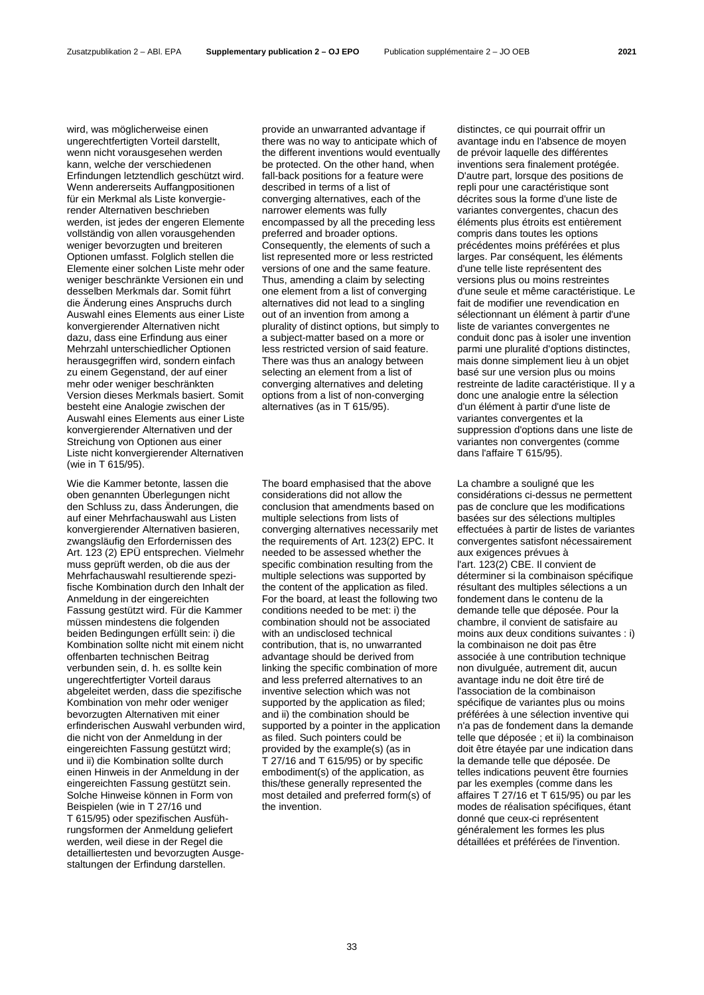wird, was möglicherweise einen ungerechtfertigten Vorteil darstellt, wenn nicht vorausgesehen werden kann, welche der verschiedenen Erfindungen letztendlich geschützt wird. Wenn andererseits Auffangpositionen für ein Merkmal als Liste konvergierender Alternativen beschrieben werden, ist jedes der engeren Elemente vollständig von allen vorausgehenden weniger bevorzugten und breiteren Optionen umfasst. Folglich stellen die Elemente einer solchen Liste mehr oder weniger beschränkte Versionen ein und desselben Merkmals dar. Somit führt die Änderung eines Anspruchs durch Auswahl eines Elements aus einer Liste konvergierender Alternativen nicht dazu, dass eine Erfindung aus einer Mehrzahl unterschiedlicher Optionen herausgegriffen wird, sondern einfach zu einem Gegenstand, der auf einer mehr oder weniger beschränkten Version dieses Merkmals basiert. Somit besteht eine Analogie zwischen der Auswahl eines Elements aus einer Liste konvergierender Alternativen und der Streichung von Optionen aus einer Liste nicht konvergierender Alternativen (wie in T 615/95).

Wie die Kammer betonte, lassen die oben genannten Überlegungen nicht den Schluss zu, dass Änderungen, die auf einer Mehrfachauswahl aus Listen konvergierender Alternativen basieren, zwangsläufig den Erfordernissen des Art. 123 (2) EPÜ entsprechen. Vielmehr muss geprüft werden, ob die aus der Mehrfachauswahl resultierende spezifische Kombination durch den Inhalt der Anmeldung in der eingereichten Fassung gestützt wird. Für die Kammer müssen mindestens die folgenden beiden Bedingungen erfüllt sein: i) die Kombination sollte nicht mit einem nicht offenbarten technischen Beitrag verbunden sein, d. h. es sollte kein ungerechtfertigter Vorteil daraus abgeleitet werden, dass die spezifische Kombination von mehr oder weniger bevorzugten Alternativen mit einer erfinderischen Auswahl verbunden wird, die nicht von der Anmeldung in der eingereichten Fassung gestützt wird; und ii) die Kombination sollte durch einen Hinweis in der Anmeldung in der eingereichten Fassung gestützt sein. Solche Hinweise können in Form von Beispielen (wie in T 27/16 und T 615/95) oder spezifischen Ausführungsformen der Anmeldung geliefert werden, weil diese in der Regel die detailliertesten und bevorzugten Ausgestaltungen der Erfindung darstellen.

provide an unwarranted advantage if there was no way to anticipate which of the different inventions would eventually be protected. On the other hand, when fall-back positions for a feature were described in terms of a list of converging alternatives, each of the narrower elements was fully encompassed by all the preceding less preferred and broader options. Consequently, the elements of such a list represented more or less restricted versions of one and the same feature. Thus, amending a claim by selecting one element from a list of converging alternatives did not lead to a singling out of an invention from among a plurality of distinct options, but simply to a subject-matter based on a more or less restricted version of said feature. There was thus an analogy between selecting an element from a list of converging alternatives and deleting options from a list of non-converging alternatives (as in T 615/95).

The board emphasised that the above considerations did not allow the conclusion that amendments based on multiple selections from lists of converging alternatives necessarily met the requirements of Art. 123(2) EPC. It needed to be assessed whether the specific combination resulting from the multiple selections was supported by the content of the application as filed. For the board, at least the following two conditions needed to be met: i) the combination should not be associated with an undisclosed technical contribution, that is, no unwarranted advantage should be derived from linking the specific combination of more and less preferred alternatives to an inventive selection which was not supported by the application as filed; and ii) the combination should be supported by a pointer in the application as filed. Such pointers could be provided by the example(s) (as in T 27/16 and T 615/95) or by specific embodiment(s) of the application, as this/these generally represented the most detailed and preferred form(s) of the invention.

distinctes, ce qui pourrait offrir un avantage indu en l'absence de moyen de prévoir laquelle des différentes inventions sera finalement protégée. D'autre part, lorsque des positions de repli pour une caractéristique sont décrites sous la forme d'une liste de variantes convergentes, chacun des éléments plus étroits est entièrement compris dans toutes les options précédentes moins préférées et plus larges. Par conséquent, les éléments d'une telle liste représentent des versions plus ou moins restreintes d'une seule et même caractéristique. Le fait de modifier une revendication en sélectionnant un élément à partir d'une liste de variantes convergentes ne conduit donc pas à isoler une invention parmi une pluralité d'options distinctes, mais donne simplement lieu à un objet basé sur une version plus ou moins restreinte de ladite caractéristique. Il y a donc une analogie entre la sélection d'un élément à partir d'une liste de variantes convergentes et la suppression d'options dans une liste de variantes non convergentes (comme dans l'affaire T 615/95).

La chambre a souligné que les considérations ci-dessus ne permettent pas de conclure que les modifications basées sur des sélections multiples effectuées à partir de listes de variantes convergentes satisfont nécessairement aux exigences prévues à l'art. 123(2) CBE. Il convient de déterminer si la combinaison spécifique résultant des multiples sélections a un fondement dans le contenu de la demande telle que déposée. Pour la chambre, il convient de satisfaire au moins aux deux conditions suivantes : i) la combinaison ne doit pas être associée à une contribution technique non divulguée, autrement dit, aucun avantage indu ne doit être tiré de l'association de la combinaison spécifique de variantes plus ou moins préférées à une sélection inventive qui n'a pas de fondement dans la demande telle que déposée ; et ii) la combinaison doit être étayée par une indication dans la demande telle que déposée. De telles indications peuvent être fournies par les exemples (comme dans les affaires T 27/16 et T 615/95) ou par les modes de réalisation spécifiques, étant donné que ceux-ci représentent généralement les formes les plus détaillées et préférées de l'invention.

33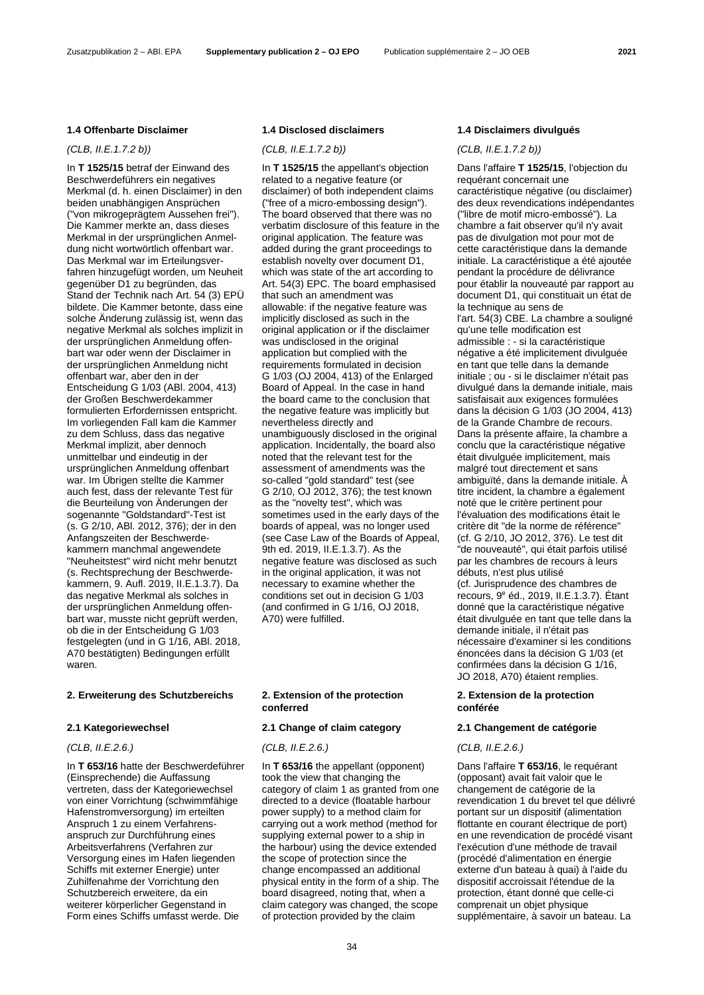# **1.4 Offenbarte Disclaimer 1.4 Disclosed disclaimers 1.4 Disclaimers divulgués**

*(CLB, II.E.1.7.2 b)) (CLB, II.E.1.7.2 b)) (CLB, II.E.1.7.2 b))*

In **T 1525/15** betraf der Einwand des Beschwerdeführers ein negatives Merkmal (d. h. einen Disclaimer) in den beiden unabhängigen Ansprüchen ("von mikrogeprägtem Aussehen frei"). Die Kammer merkte an, dass dieses Merkmal in der ursprünglichen Anmeldung nicht wortwörtlich offenbart war. Das Merkmal war im Erteilungsverfahren hinzugefügt worden, um Neuheit gegenüber D1 zu begründen, das Stand der Technik nach Art. 54 (3) EPÜ bildete. Die Kammer betonte, dass eine solche Änderung zulässig ist, wenn das negative Merkmal als solches implizit in der ursprünglichen Anmeldung offenbart war oder wenn der Disclaimer in der ursprünglichen Anmeldung nicht offenbart war, aber den in der Entscheidung G 1/03 (ABl. 2004, 413) der Großen Beschwerdekammer formulierten Erfordernissen entspricht. Im vorliegenden Fall kam die Kammer zu dem Schluss, dass das negative Merkmal implizit, aber dennoch unmittelbar und eindeutig in der ursprünglichen Anmeldung offenbart war. Im Übrigen stellte die Kammer auch fest, dass der relevante Test für die Beurteilung von Änderungen der sogenannte "Goldstandard"-Test ist (s. G 2/10, ABl. 2012, 376); der in den Anfangszeiten der Beschwerdekammern manchmal angewendete "Neuheitstest" wird nicht mehr benutzt (s. Rechtsprechung der Beschwerdekammern, 9. Aufl. 2019, II.E.1.3.7). Da das negative Merkmal als solches in der ursprünglichen Anmeldung offenbart war, musste nicht geprüft werden, ob die in der Entscheidung G 1/03 festgelegten (und in G 1/16, ABl. 2018, A70 bestätigten) Bedingungen erfüllt waren.

### **2. Erweiterung des Schutzbereichs 2. Extension of the protection**

In **T 653/16** hatte der Beschwerdeführer (Einsprechende) die Auffassung vertreten, dass der Kategoriewechsel von einer Vorrichtung (schwimmfähige Hafenstromversorgung) im erteilten Anspruch 1 zu einem Verfahrensanspruch zur Durchführung eines Arbeitsverfahrens (Verfahren zur Versorgung eines im Hafen liegenden Schiffs mit externer Energie) unter Zuhilfenahme der Vorrichtung den Schutzbereich erweitere, da ein weiterer körperlicher Gegenstand in Form eines Schiffs umfasst werde. Die

In **T 1525/15** the appellant's objection related to a negative feature (or disclaimer) of both independent claims ("free of a micro-embossing design"). The board observed that there was no verbatim disclosure of this feature in the original application. The feature was added during the grant proceedings to establish novelty over document D1, which was state of the art according to Art. 54(3) EPC. The board emphasised that such an amendment was allowable: if the negative feature was implicitly disclosed as such in the original application or if the disclaimer was undisclosed in the original application but complied with the requirements formulated in decision G 1/03 (OJ 2004, 413) of the Enlarged Board of Appeal. In the case in hand the board came to the conclusion that the negative feature was implicitly but nevertheless directly and unambiguously disclosed in the original application. Incidentally, the board also noted that the relevant test for the assessment of amendments was the so-called "gold standard" test (see G 2/10, OJ 2012, 376); the test known as the "novelty test", which was sometimes used in the early days of the boards of appeal, was no longer used (see Case Law of the Boards of Appeal, 9th ed. 2019, II.E.1.3.7). As the negative feature was disclosed as such in the original application, it was not necessary to examine whether the conditions set out in decision G 1/03 (and confirmed in G 1/16, OJ 2018, A70) were fulfilled.

# **conferred**

### **2.1 Kategoriewechsel 2.1 Change of claim category 2.1 Changement de catégorie**

### *(CLB, II.E.2.6.) (CLB, II.E.2.6.) (CLB, II.E.2.6.)*

In **T 653/16** the appellant (opponent) took the view that changing the category of claim 1 as granted from one directed to a device (floatable harbour power supply) to a method claim for carrying out a work method (method for supplying external power to a ship in the harbour) using the device extended the scope of protection since the change encompassed an additional physical entity in the form of a ship. The board disagreed, noting that, when a claim category was changed, the scope of protection provided by the claim

Dans l'affaire **T 1525/15**, l'objection du requérant concernait une caractéristique négative (ou disclaimer) des deux revendications indépendantes ("libre de motif micro-embossé"). La chambre a fait observer qu'il n'y avait pas de divulgation mot pour mot de cette caractéristique dans la demande initiale. La caractéristique a été ajoutée pendant la procédure de délivrance pour établir la nouveauté par rapport au document D1, qui constituait un état de la technique au sens de l'art. 54(3) CBE. La chambre a souligné qu'une telle modification est admissible : - si la caractéristique négative a été implicitement divulguée en tant que telle dans la demande initiale ; ou - si le disclaimer n'était pas divulgué dans la demande initiale, mais satisfaisait aux exigences formulées dans la décision G 1/03 (JO 2004, 413) de la Grande Chambre de recours. Dans la présente affaire, la chambre a conclu que la caractéristique négative était divulguée implicitement, mais malgré tout directement et sans ambiguïté, dans la demande initiale. À titre incident, la chambre a également noté que le critère pertinent pour l'évaluation des modifications était le critère dit "de la norme de référence" (cf. G 2/10, JO 2012, 376). Le test dit "de nouveauté", qui était parfois utilisé par les chambres de recours à leurs débuts, n'est plus utilisé (cf. Jurisprudence des chambres de recours, 9e éd., 2019, II.E.1.3.7). Étant donné que la caractéristique négative était divulguée en tant que telle dans la demande initiale, il n'était pas nécessaire d'examiner si les conditions énoncées dans la décision G 1/03 (et confirmées dans la décision G 1/16, JO 2018, A70) étaient remplies.

### **2. Extension de la protection conférée**

Dans l'affaire **T 653/16**, le requérant (opposant) avait fait valoir que le changement de catégorie de la revendication 1 du brevet tel que délivré portant sur un dispositif (alimentation flottante en courant électrique de port) en une revendication de procédé visant l'exécution d'une méthode de travail (procédé d'alimentation en énergie externe d'un bateau à quai) à l'aide du dispositif accroissait l'étendue de la protection, étant donné que celle-ci comprenait un objet physique supplémentaire, à savoir un bateau. La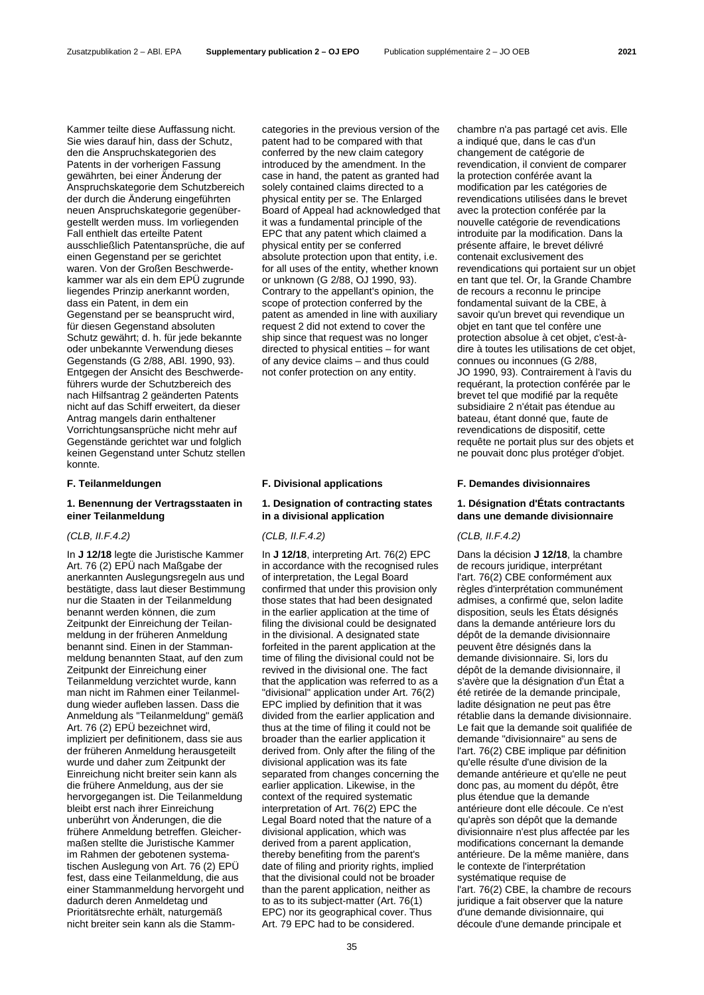Kammer teilte diese Auffassung nicht. Sie wies darauf hin, dass der Schutz, den die Anspruchskategorien des Patents in der vorherigen Fassung gewährten, bei einer Änderung der Anspruchskategorie dem Schutzbereich der durch die Änderung eingeführten neuen Anspruchskategorie gegenübergestellt werden muss. Im vorliegenden Fall enthielt das erteilte Patent ausschließlich Patentansprüche, die auf einen Gegenstand per se gerichtet waren. Von der Großen Beschwerdekammer war als ein dem EPÜ zugrunde liegendes Prinzip anerkannt worden, dass ein Patent, in dem ein Gegenstand per se beansprucht wird, für diesen Gegenstand absoluten Schutz gewährt; d. h. für jede bekannte oder unbekannte Verwendung dieses Gegenstands (G 2/88, ABl. 1990, 93). Entgegen der Ansicht des Beschwerdeführers wurde der Schutzbereich des nach Hilfsantrag 2 geänderten Patents nicht auf das Schiff erweitert, da dieser

Antrag mangels darin enthaltener Vorrichtungsansprüche nicht mehr auf Gegenstände gerichtet war und folglich keinen Gegenstand unter Schutz stellen konnte.

### **1. Benennung der Vertragsstaaten in einer Teilanmeldung**

### *(CLB, II.F.4.2) (CLB, II.F.4.2) (CLB, II.F.4.2)*

In **J 12/18** legte die Juristische Kammer Art. 76 (2) EPÜ nach Maßgabe der anerkannten Auslegungsregeln aus und bestätigte, dass laut dieser Bestimmung nur die Staaten in der Teilanmeldung benannt werden können, die zum Zeitpunkt der Einreichung der Teilanmeldung in der früheren Anmeldung benannt sind. Einen in der Stammanmeldung benannten Staat, auf den zum Zeitpunkt der Einreichung einer Teilanmeldung verzichtet wurde, kann man nicht im Rahmen einer Teilanmeldung wieder aufleben lassen. Dass die Anmeldung als "Teilanmeldung" gemäß Art. 76 (2) EPÜ bezeichnet wird, impliziert per definitionem, dass sie aus der früheren Anmeldung herausgeteilt wurde und daher zum Zeitpunkt der Einreichung nicht breiter sein kann als die frühere Anmeldung, aus der sie hervorgegangen ist. Die Teilanmeldung bleibt erst nach ihrer Einreichung unberührt von Änderungen, die die frühere Anmeldung betreffen. Gleichermaßen stellte die Juristische Kammer im Rahmen der gebotenen systematischen Auslegung von Art. 76 (2) EPÜ fest, dass eine Teilanmeldung, die aus einer Stammanmeldung hervorgeht und dadurch deren Anmeldetag und Prioritätsrechte erhält, naturgemäß nicht breiter sein kann als die Stammcategories in the previous version of the patent had to be compared with that conferred by the new claim category introduced by the amendment. In the case in hand, the patent as granted had solely contained claims directed to a physical entity per se. The Enlarged Board of Appeal had acknowledged that it was a fundamental principle of the EPC that any patent which claimed a physical entity per se conferred absolute protection upon that entity, i.e. for all uses of the entity, whether known or unknown (G 2/88, OJ 1990, 93). Contrary to the appellant's opinion, the scope of protection conferred by the patent as amended in line with auxiliary request 2 did not extend to cover the ship since that request was no longer directed to physical entities – for want of any device claims – and thus could not confer protection on any entity.

# **1. Designation of contracting states in a divisional application**

In **J 12/18**, interpreting Art. 76(2) EPC in accordance with the recognised rules of interpretation, the Legal Board confirmed that under this provision only those states that had been designated in the earlier application at the time of filing the divisional could be designated in the divisional. A designated state forfeited in the parent application at the time of filing the divisional could not be revived in the divisional one. The fact that the application was referred to as a "divisional" application under Art. 76(2) EPC implied by definition that it was divided from the earlier application and thus at the time of filing it could not be broader than the earlier application it derived from. Only after the filing of the divisional application was its fate separated from changes concerning the earlier application. Likewise, in the context of the required systematic interpretation of Art. 76(2) EPC the Legal Board noted that the nature of a divisional application, which was derived from a parent application, thereby benefiting from the parent's date of filing and priority rights, implied that the divisional could not be broader than the parent application, neither as to as to its subject-matter (Art. 76(1) EPC) nor its geographical cover. Thus Art. 79 EPC had to be considered.

chambre n'a pas partagé cet avis. Elle a indiqué que, dans le cas d'un changement de catégorie de revendication, il convient de comparer la protection conférée avant la modification par les catégories de revendications utilisées dans le brevet avec la protection conférée par la nouvelle catégorie de revendications introduite par la modification. Dans la présente affaire, le brevet délivré contenait exclusivement des revendications qui portaient sur un objet en tant que tel. Or, la Grande Chambre de recours a reconnu le principe fondamental suivant de la CBE, à savoir qu'un brevet qui revendique un objet en tant que tel confère une protection absolue à cet objet, c'est-àdire à toutes les utilisations de cet objet, connues ou inconnues (G 2/88, JO 1990, 93). Contrairement à l'avis du requérant, la protection conférée par le brevet tel que modifié par la requête subsidiaire 2 n'était pas étendue au bateau, étant donné que, faute de revendications de dispositif, cette requête ne portait plus sur des objets et ne pouvait donc plus protéger d'objet.

### **F. Teilanmeldungen F. Divisional applications F. Demandes divisionnaires**

# **1. Désignation d'États contractants dans une demande divisionnaire**

Dans la décision **J 12/18**, la chambre de recours juridique, interprétant l'art. 76(2) CBE conformément aux règles d'interprétation communément admises, a confirmé que, selon ladite disposition, seuls les États désignés dans la demande antérieure lors du dépôt de la demande divisionnaire peuvent être désignés dans la demande divisionnaire. Si, lors du dépôt de la demande divisionnaire, il s'avère que la désignation d'un État a été retirée de la demande principale, ladite désignation ne peut pas être rétablie dans la demande divisionnaire. Le fait que la demande soit qualifiée de demande "divisionnaire" au sens de l'art. 76(2) CBE implique par définition qu'elle résulte d'une division de la demande antérieure et qu'elle ne peut donc pas, au moment du dépôt, être plus étendue que la demande antérieure dont elle découle. Ce n'est qu'après son dépôt que la demande divisionnaire n'est plus affectée par les modifications concernant la demande antérieure. De la même manière, dans le contexte de l'interprétation systématique requise de l'art. 76(2) CBE, la chambre de recours juridique a fait observer que la nature d'une demande divisionnaire, qui découle d'une demande principale et